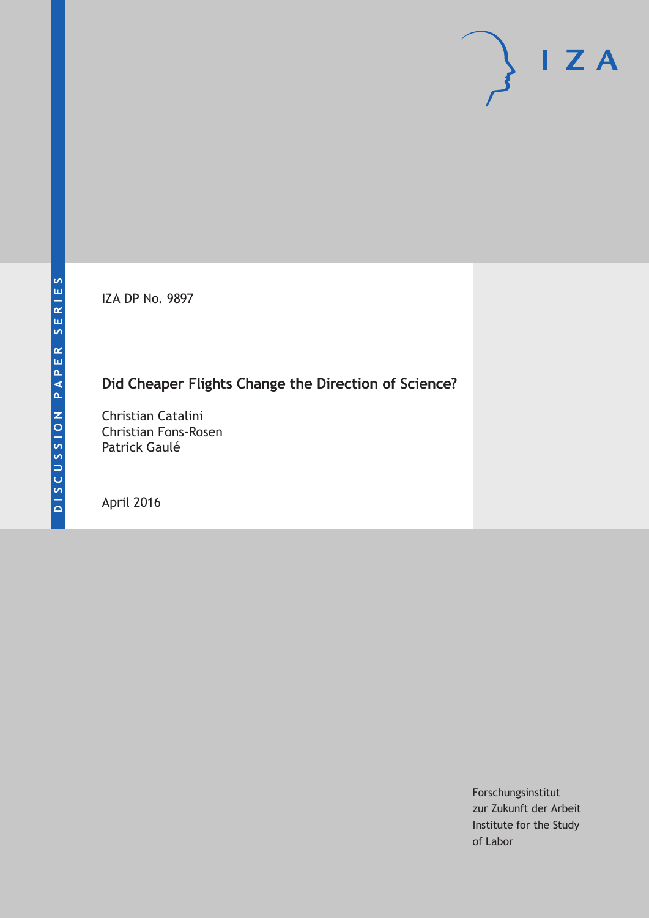IZA DP No. 9897

# **Did Cheaper Flights Change the Direction of Science?**

Christian Catalini Christian Fons-Rosen Patrick Gaulé

April 2016

Forschungsinstitut zur Zukunft der Arbeit Institute for the Study of Labor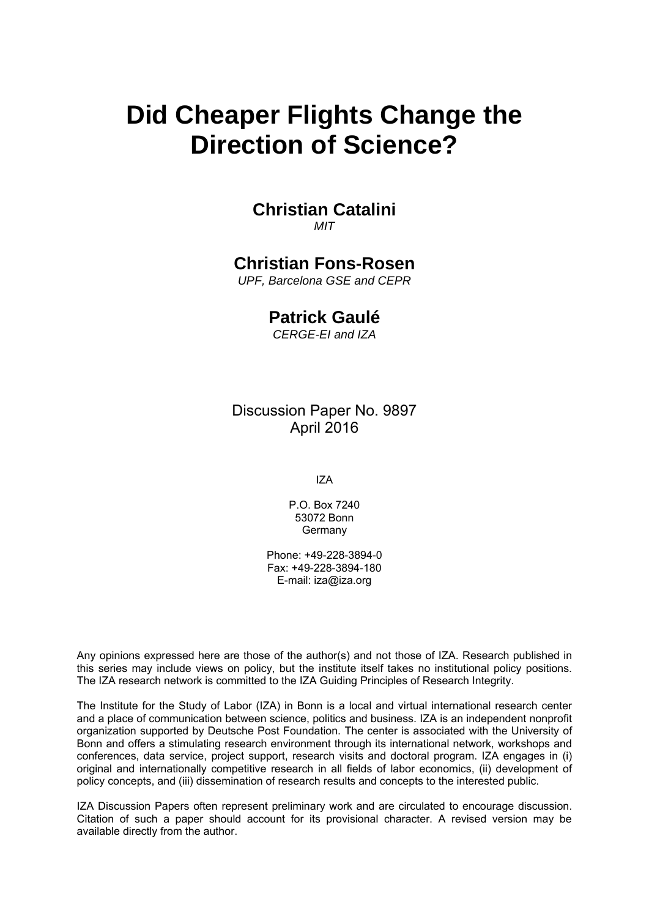# **Did Cheaper Flights Change the Direction of Science?**

#### **Christian Catalini**  *MIT*

### **Christian Fons-Rosen**

*UPF, Barcelona GSE and CEPR* 

### **Patrick Gaulé**

*CERGE-EI and IZA*

### Discussion Paper No. 9897 April 2016

IZA

P.O. Box 7240 53072 Bonn **Germany** 

Phone: +49-228-3894-0 Fax: +49-228-3894-180 E-mail: iza@iza.org

Any opinions expressed here are those of the author(s) and not those of IZA. Research published in this series may include views on policy, but the institute itself takes no institutional policy positions. The IZA research network is committed to the IZA Guiding Principles of Research Integrity.

The Institute for the Study of Labor (IZA) in Bonn is a local and virtual international research center and a place of communication between science, politics and business. IZA is an independent nonprofit organization supported by Deutsche Post Foundation. The center is associated with the University of Bonn and offers a stimulating research environment through its international network, workshops and conferences, data service, project support, research visits and doctoral program. IZA engages in (i) original and internationally competitive research in all fields of labor economics, (ii) development of policy concepts, and (iii) dissemination of research results and concepts to the interested public.

IZA Discussion Papers often represent preliminary work and are circulated to encourage discussion. Citation of such a paper should account for its provisional character. A revised version may be available directly from the author.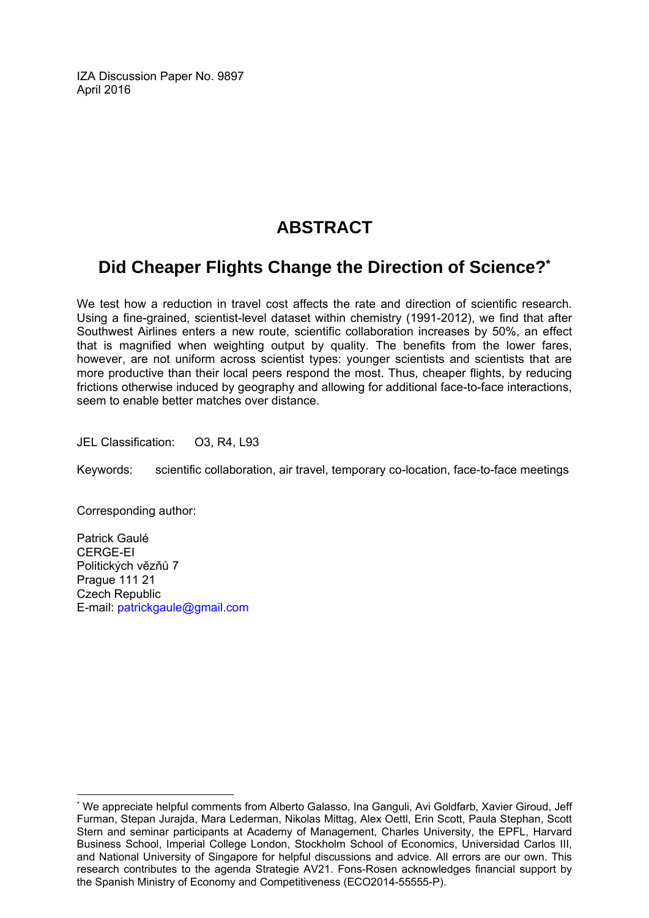IZA Discussion Paper No. 9897 April 2016

# **ABSTRACT**

# **Did Cheaper Flights Change the Direction of Science?\***

We test how a reduction in travel cost affects the rate and direction of scientific research. Using a fine-grained, scientist-level dataset within chemistry (1991-2012), we find that after Southwest Airlines enters a new route, scientific collaboration increases by 50%, an effect that is magnified when weighting output by quality. The benefits from the lower fares, however, are not uniform across scientist types: younger scientists and scientists that are more productive than their local peers respond the most. Thus, cheaper flights, by reducing frictions otherwise induced by geography and allowing for additional face-to-face interactions, seem to enable better matches over distance.

JEL Classification: O3, R4, L93

Keywords: scientific collaboration, air travel, temporary co-location, face-to-face meetings

Corresponding author:

 $\overline{a}$ 

Patrick Gaulé CERGE-EI Politických vězňů 7 Prague 111 21 Czech Republic E-mail: patrickgaule@gmail.com

<sup>\*</sup> We appreciate helpful comments from Alberto Galasso, Ina Ganguli, Avi Goldfarb, Xavier Giroud, Jeff Furman, Stepan Jurajda, Mara Lederman, Nikolas Mittag, Alex Oettl, Erin Scott, Paula Stephan, Scott Stern and seminar participants at Academy of Management, Charles University, the EPFL, Harvard Business School, Imperial College London, Stockholm School of Economics, Universidad Carlos III, and National University of Singapore for helpful discussions and advice. All errors are our own. This research contributes to the agenda Strategie AV21. Fons-Rosen acknowledges financial support by the Spanish Ministry of Economy and Competitiveness (ECO2014-55555-P).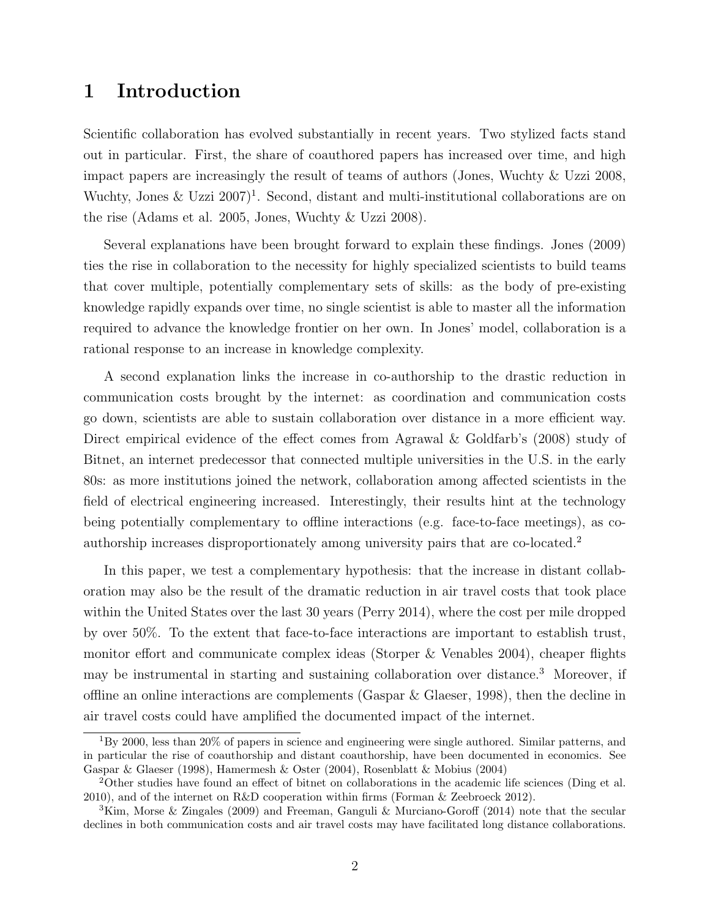### 1 Introduction

Scientific collaboration has evolved substantially in recent years. Two stylized facts stand out in particular. First, the share of coauthored papers has increased over time, and high impact papers are increasingly the result of teams of authors (Jones, Wuchty & Uzzi 2008, Wuchty, Jones & Uzzi  $2007$ <sup>1</sup>. Second, distant and multi-institutional collaborations are on the rise (Adams et al. 2005, Jones, Wuchty & Uzzi 2008).

Several explanations have been brought forward to explain these findings. Jones (2009) ties the rise in collaboration to the necessity for highly specialized scientists to build teams that cover multiple, potentially complementary sets of skills: as the body of pre-existing knowledge rapidly expands over time, no single scientist is able to master all the information required to advance the knowledge frontier on her own. In Jones' model, collaboration is a rational response to an increase in knowledge complexity.

A second explanation links the increase in co-authorship to the drastic reduction in communication costs brought by the internet: as coordination and communication costs go down, scientists are able to sustain collaboration over distance in a more efficient way. Direct empirical evidence of the effect comes from Agrawal & Goldfarb's (2008) study of Bitnet, an internet predecessor that connected multiple universities in the U.S. in the early 80s: as more institutions joined the network, collaboration among affected scientists in the field of electrical engineering increased. Interestingly, their results hint at the technology being potentially complementary to offline interactions (e.g. face-to-face meetings), as coauthorship increases disproportionately among university pairs that are co-located.<sup>2</sup>

In this paper, we test a complementary hypothesis: that the increase in distant collaboration may also be the result of the dramatic reduction in air travel costs that took place within the United States over the last 30 years (Perry 2014), where the cost per mile dropped by over 50%. To the extent that face-to-face interactions are important to establish trust, monitor effort and communicate complex ideas (Storper & Venables 2004), cheaper flights may be instrumental in starting and sustaining collaboration over distance.<sup>3</sup> Moreover, if offline an online interactions are complements (Gaspar  $\&$  Glaeser, 1998), then the decline in air travel costs could have amplified the documented impact of the internet.

 $1_{\rm BV}$  2000, less than 20% of papers in science and engineering were single authored. Similar patterns, and in particular the rise of coauthorship and distant coauthorship, have been documented in economics. See Gaspar & Glaeser (1998), Hamermesh & Oster (2004), Rosenblatt & Mobius (2004)

<sup>2</sup>Other studies have found an effect of bitnet on collaborations in the academic life sciences (Ding et al. 2010), and of the internet on R&D cooperation within firms (Forman & Zeebroeck 2012).

<sup>&</sup>lt;sup>3</sup>Kim, Morse & Zingales (2009) and Freeman, Ganguli & Murciano-Goroff (2014) note that the secular declines in both communication costs and air travel costs may have facilitated long distance collaborations.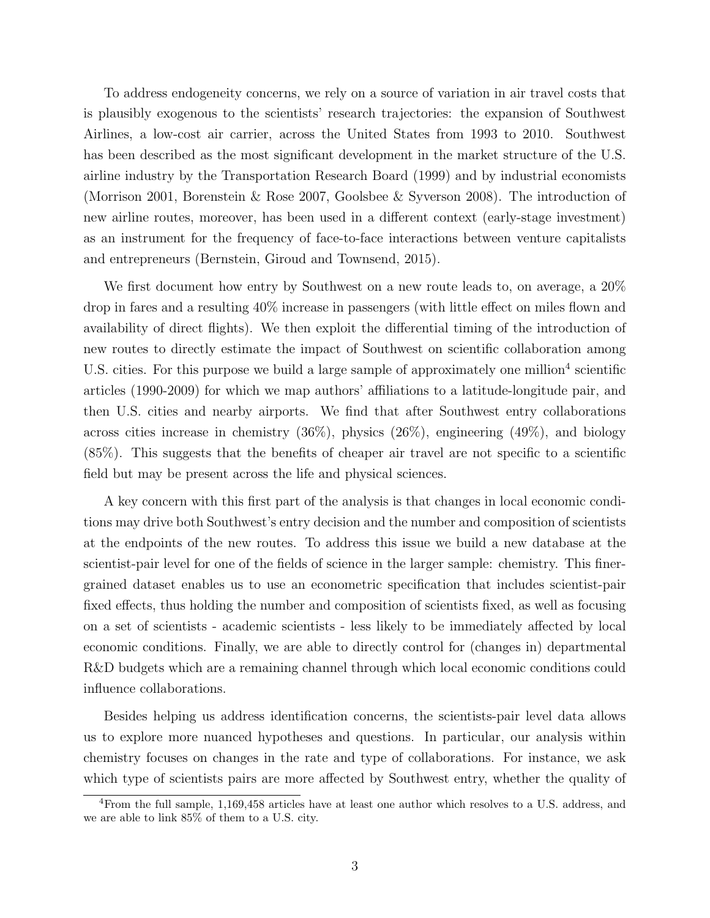To address endogeneity concerns, we rely on a source of variation in air travel costs that is plausibly exogenous to the scientists' research trajectories: the expansion of Southwest Airlines, a low-cost air carrier, across the United States from 1993 to 2010. Southwest has been described as the most significant development in the market structure of the U.S. airline industry by the Transportation Research Board (1999) and by industrial economists (Morrison 2001, Borenstein & Rose 2007, Goolsbee & Syverson 2008). The introduction of new airline routes, moreover, has been used in a different context (early-stage investment) as an instrument for the frequency of face-to-face interactions between venture capitalists and entrepreneurs (Bernstein, Giroud and Townsend, 2015).

We first document how entry by Southwest on a new route leads to, on average, a 20% drop in fares and a resulting 40% increase in passengers (with little effect on miles flown and availability of direct flights). We then exploit the differential timing of the introduction of new routes to directly estimate the impact of Southwest on scientific collaboration among U.S. cities. For this purpose we build a large sample of approximately one million<sup>4</sup> scientific articles (1990-2009) for which we map authors' affiliations to a latitude-longitude pair, and then U.S. cities and nearby airports. We find that after Southwest entry collaborations across cities increase in chemistry  $(36\%)$ , physics  $(26\%)$ , engineering  $(49\%)$ , and biology (85%). This suggests that the benefits of cheaper air travel are not specific to a scientific field but may be present across the life and physical sciences.

A key concern with this first part of the analysis is that changes in local economic conditions may drive both Southwest's entry decision and the number and composition of scientists at the endpoints of the new routes. To address this issue we build a new database at the scientist-pair level for one of the fields of science in the larger sample: chemistry. This finergrained dataset enables us to use an econometric specification that includes scientist-pair fixed effects, thus holding the number and composition of scientists fixed, as well as focusing on a set of scientists - academic scientists - less likely to be immediately affected by local economic conditions. Finally, we are able to directly control for (changes in) departmental R&D budgets which are a remaining channel through which local economic conditions could influence collaborations.

Besides helping us address identification concerns, the scientists-pair level data allows us to explore more nuanced hypotheses and questions. In particular, our analysis within chemistry focuses on changes in the rate and type of collaborations. For instance, we ask which type of scientists pairs are more affected by Southwest entry, whether the quality of

<sup>4</sup>From the full sample, 1,169,458 articles have at least one author which resolves to a U.S. address, and we are able to link 85% of them to a U.S. city.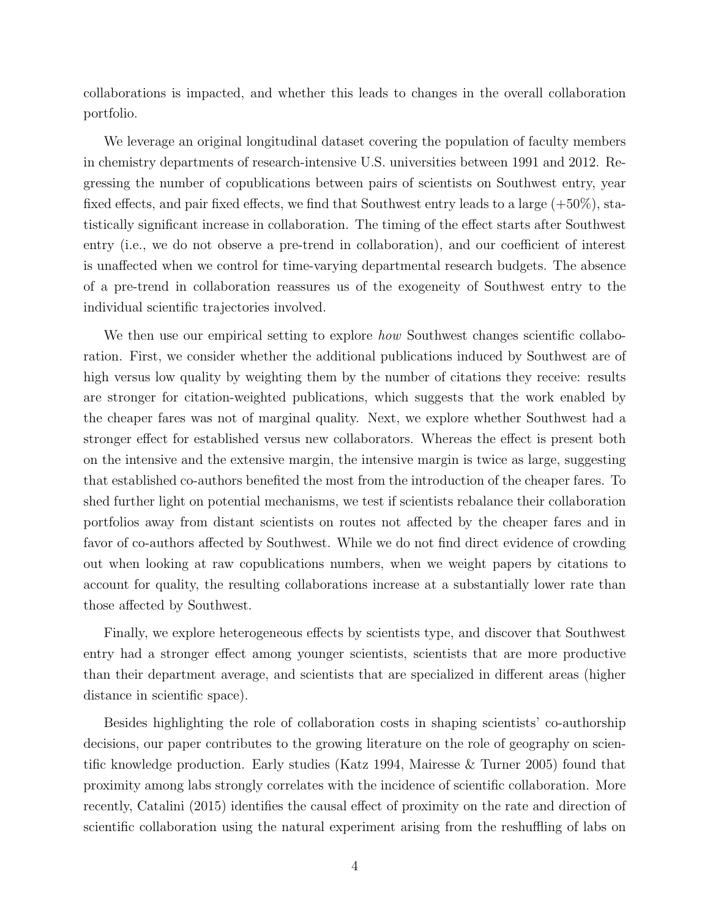collaborations is impacted, and whether this leads to changes in the overall collaboration portfolio.

We leverage an original longitudinal dataset covering the population of faculty members in chemistry departments of research-intensive U.S. universities between 1991 and 2012. Regressing the number of copublications between pairs of scientists on Southwest entry, year fixed effects, and pair fixed effects, we find that Southwest entry leads to a large (+50%), statistically significant increase in collaboration. The timing of the effect starts after Southwest entry (i.e., we do not observe a pre-trend in collaboration), and our coefficient of interest is unaffected when we control for time-varying departmental research budgets. The absence of a pre-trend in collaboration reassures us of the exogeneity of Southwest entry to the individual scientific trajectories involved.

We then use our empirical setting to explore *how* Southwest changes scientific collaboration. First, we consider whether the additional publications induced by Southwest are of high versus low quality by weighting them by the number of citations they receive: results are stronger for citation-weighted publications, which suggests that the work enabled by the cheaper fares was not of marginal quality. Next, we explore whether Southwest had a stronger effect for established versus new collaborators. Whereas the effect is present both on the intensive and the extensive margin, the intensive margin is twice as large, suggesting that established co-authors benefited the most from the introduction of the cheaper fares. To shed further light on potential mechanisms, we test if scientists rebalance their collaboration portfolios away from distant scientists on routes not affected by the cheaper fares and in favor of co-authors affected by Southwest. While we do not find direct evidence of crowding out when looking at raw copublications numbers, when we weight papers by citations to account for quality, the resulting collaborations increase at a substantially lower rate than those affected by Southwest.

Finally, we explore heterogeneous effects by scientists type, and discover that Southwest entry had a stronger effect among younger scientists, scientists that are more productive than their department average, and scientists that are specialized in different areas (higher distance in scientific space).

Besides highlighting the role of collaboration costs in shaping scientists' co-authorship decisions, our paper contributes to the growing literature on the role of geography on scientific knowledge production. Early studies (Katz 1994, Mairesse & Turner 2005) found that proximity among labs strongly correlates with the incidence of scientific collaboration. More recently, Catalini (2015) identifies the causal effect of proximity on the rate and direction of scientific collaboration using the natural experiment arising from the reshuffling of labs on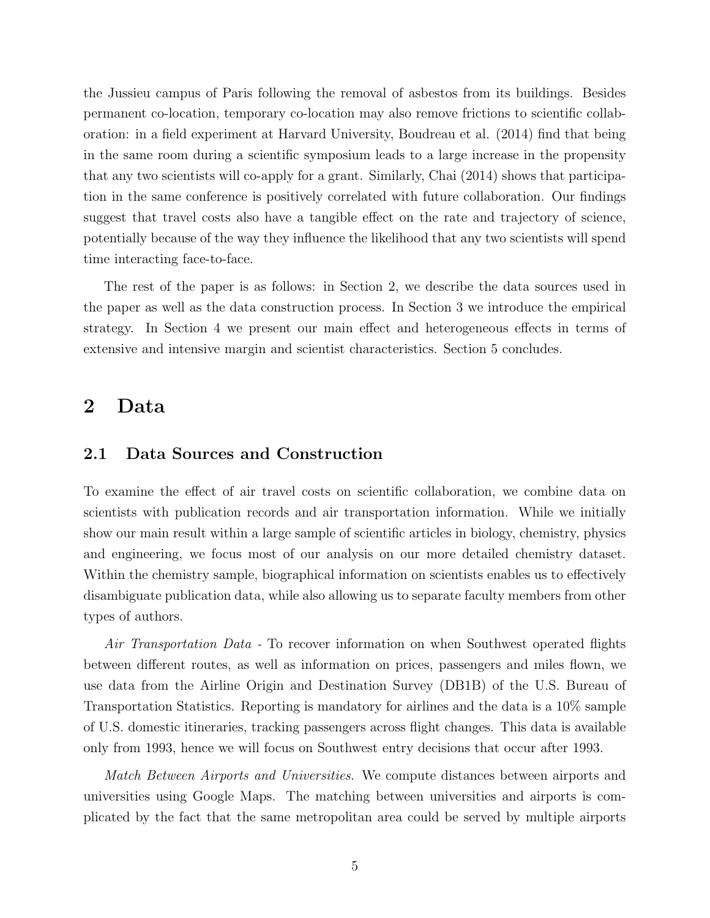the Jussieu campus of Paris following the removal of asbestos from its buildings. Besides permanent co-location, temporary co-location may also remove frictions to scientific collaboration: in a field experiment at Harvard University, Boudreau et al. (2014) find that being in the same room during a scientific symposium leads to a large increase in the propensity that any two scientists will co-apply for a grant. Similarly, Chai (2014) shows that participation in the same conference is positively correlated with future collaboration. Our findings suggest that travel costs also have a tangible effect on the rate and trajectory of science, potentially because of the way they influence the likelihood that any two scientists will spend time interacting face-to-face.

The rest of the paper is as follows: in Section 2, we describe the data sources used in the paper as well as the data construction process. In Section 3 we introduce the empirical strategy. In Section 4 we present our main effect and heterogeneous effects in terms of extensive and intensive margin and scientist characteristics. Section 5 concludes.

### 2 Data

#### 2.1 Data Sources and Construction

To examine the effect of air travel costs on scientific collaboration, we combine data on scientists with publication records and air transportation information. While we initially show our main result within a large sample of scientific articles in biology, chemistry, physics and engineering, we focus most of our analysis on our more detailed chemistry dataset. Within the chemistry sample, biographical information on scientists enables us to effectively disambiguate publication data, while also allowing us to separate faculty members from other types of authors.

Air Transportation Data - To recover information on when Southwest operated flights between different routes, as well as information on prices, passengers and miles flown, we use data from the Airline Origin and Destination Survey (DB1B) of the U.S. Bureau of Transportation Statistics. Reporting is mandatory for airlines and the data is a 10% sample of U.S. domestic itineraries, tracking passengers across flight changes. This data is available only from 1993, hence we will focus on Southwest entry decisions that occur after 1993.

Match Between Airports and Universities. We compute distances between airports and universities using Google Maps. The matching between universities and airports is complicated by the fact that the same metropolitan area could be served by multiple airports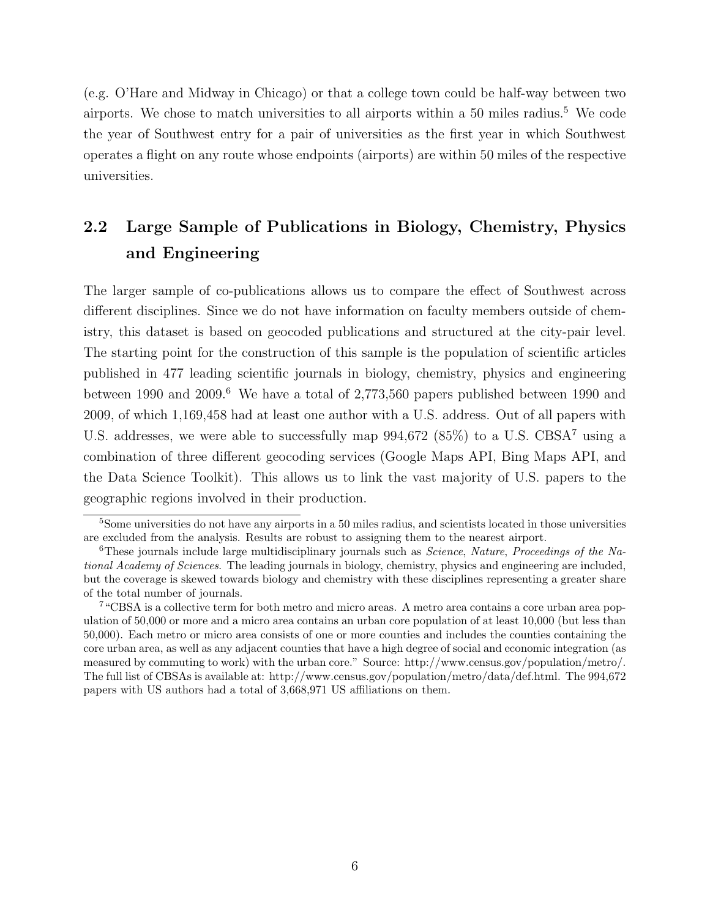(e.g. O'Hare and Midway in Chicago) or that a college town could be half-way between two airports. We chose to match universities to all airports within a  $50$  miles radius.<sup>5</sup> We code the year of Southwest entry for a pair of universities as the first year in which Southwest operates a flight on any route whose endpoints (airports) are within 50 miles of the respective universities.

# 2.2 Large Sample of Publications in Biology, Chemistry, Physics and Engineering

The larger sample of co-publications allows us to compare the effect of Southwest across different disciplines. Since we do not have information on faculty members outside of chemistry, this dataset is based on geocoded publications and structured at the city-pair level. The starting point for the construction of this sample is the population of scientific articles published in 477 leading scientific journals in biology, chemistry, physics and engineering between 1990 and 2009.<sup>6</sup> We have a total of 2,773,560 papers published between 1990 and 2009, of which 1,169,458 had at least one author with a U.S. address. Out of all papers with U.S. addresses, we were able to successfully map  $994,672$  (85%) to a U.S. CBSA<sup>7</sup> using a combination of three different geocoding services (Google Maps API, Bing Maps API, and the Data Science Toolkit). This allows us to link the vast majority of U.S. papers to the geographic regions involved in their production.

<sup>5</sup>Some universities do not have any airports in a 50 miles radius, and scientists located in those universities are excluded from the analysis. Results are robust to assigning them to the nearest airport.

 $6$ These journals include large multidisciplinary journals such as *Science*, Nature, Proceedings of the National Academy of Sciences. The leading journals in biology, chemistry, physics and engineering are included, but the coverage is skewed towards biology and chemistry with these disciplines representing a greater share of the total number of journals.

<sup>7</sup>"CBSA is a collective term for both metro and micro areas. A metro area contains a core urban area population of 50,000 or more and a micro area contains an urban core population of at least 10,000 (but less than 50,000). Each metro or micro area consists of one or more counties and includes the counties containing the core urban area, as well as any adjacent counties that have a high degree of social and economic integration (as measured by commuting to work) with the urban core." Source: http://www.census.gov/population/metro/. The full list of CBSAs is available at: http://www.census.gov/population/metro/data/def.html. The 994,672 papers with US authors had a total of 3,668,971 US affiliations on them.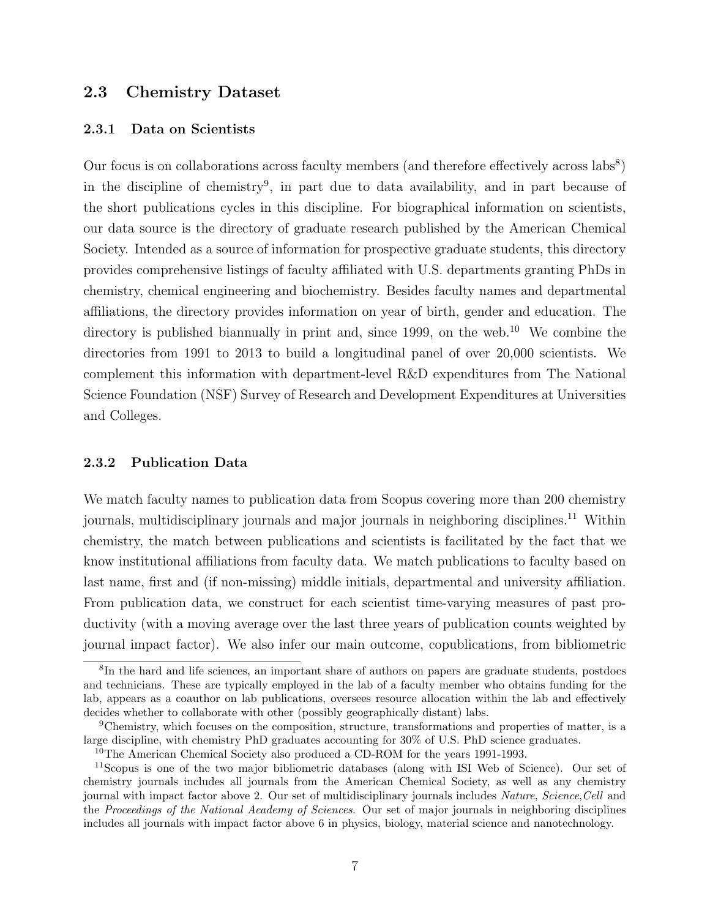#### 2.3 Chemistry Dataset

#### 2.3.1 Data on Scientists

Our focus is on collaborations across faculty members (and therefore effectively across labs<sup>8</sup>) in the discipline of chemistry<sup>9</sup> , in part due to data availability, and in part because of the short publications cycles in this discipline. For biographical information on scientists, our data source is the directory of graduate research published by the American Chemical Society. Intended as a source of information for prospective graduate students, this directory provides comprehensive listings of faculty affiliated with U.S. departments granting PhDs in chemistry, chemical engineering and biochemistry. Besides faculty names and departmental affiliations, the directory provides information on year of birth, gender and education. The directory is published biannually in print and, since  $1999$ , on the web.<sup>10</sup> We combine the directories from 1991 to 2013 to build a longitudinal panel of over 20,000 scientists. We complement this information with department-level R&D expenditures from The National Science Foundation (NSF) Survey of Research and Development Expenditures at Universities and Colleges.

#### 2.3.2 Publication Data

We match faculty names to publication data from Scopus covering more than 200 chemistry journals, multidisciplinary journals and major journals in neighboring disciplines.<sup>11</sup> Within chemistry, the match between publications and scientists is facilitated by the fact that we know institutional affiliations from faculty data. We match publications to faculty based on last name, first and (if non-missing) middle initials, departmental and university affiliation. From publication data, we construct for each scientist time-varying measures of past productivity (with a moving average over the last three years of publication counts weighted by journal impact factor). We also infer our main outcome, copublications, from bibliometric

<sup>&</sup>lt;sup>8</sup>In the hard and life sciences, an important share of authors on papers are graduate students, postdocs and technicians. These are typically employed in the lab of a faculty member who obtains funding for the lab, appears as a coauthor on lab publications, oversees resource allocation within the lab and effectively decides whether to collaborate with other (possibly geographically distant) labs.

<sup>9</sup>Chemistry, which focuses on the composition, structure, transformations and properties of matter, is a large discipline, with chemistry PhD graduates accounting for 30% of U.S. PhD science graduates.

<sup>&</sup>lt;sup>10</sup>The American Chemical Society also produced a CD-ROM for the years 1991-1993.

<sup>11</sup>Scopus is one of the two major bibliometric databases (along with ISI Web of Science). Our set of chemistry journals includes all journals from the American Chemical Society, as well as any chemistry journal with impact factor above 2. Our set of multidisciplinary journals includes Nature, Science, Cell and the Proceedings of the National Academy of Sciences. Our set of major journals in neighboring disciplines includes all journals with impact factor above 6 in physics, biology, material science and nanotechnology.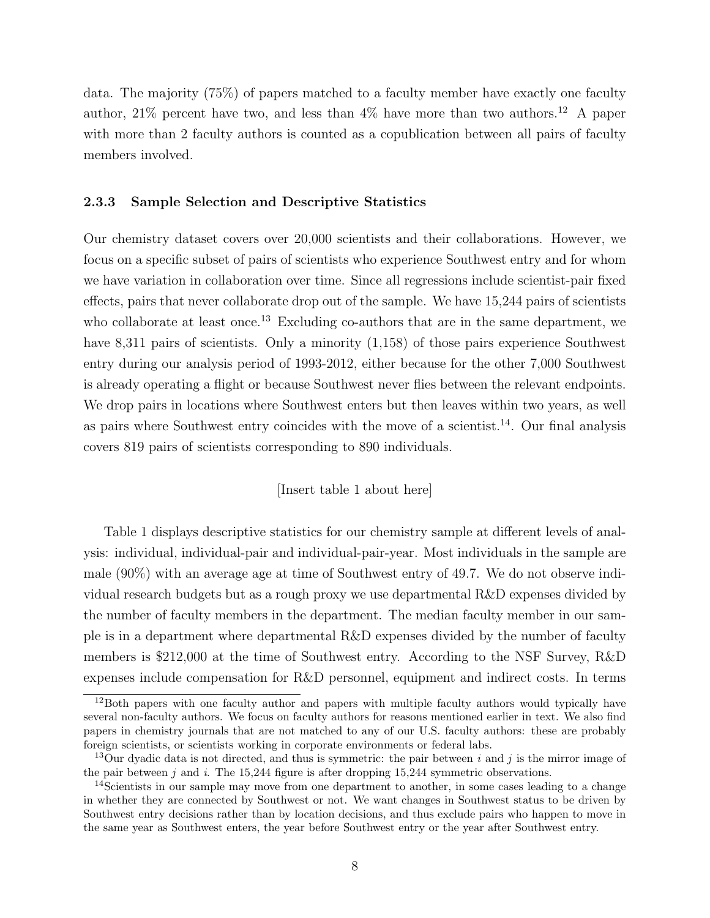data. The majority (75%) of papers matched to a faculty member have exactly one faculty author,  $21\%$  percent have two, and less than  $4\%$  have more than two authors.<sup>12</sup> A paper with more than 2 faculty authors is counted as a copublication between all pairs of faculty members involved.

#### 2.3.3 Sample Selection and Descriptive Statistics

Our chemistry dataset covers over 20,000 scientists and their collaborations. However, we focus on a specific subset of pairs of scientists who experience Southwest entry and for whom we have variation in collaboration over time. Since all regressions include scientist-pair fixed effects, pairs that never collaborate drop out of the sample. We have 15,244 pairs of scientists who collaborate at least once.<sup>13</sup> Excluding co-authors that are in the same department, we have 8,311 pairs of scientists. Only a minority  $(1,158)$  of those pairs experience Southwest entry during our analysis period of 1993-2012, either because for the other 7,000 Southwest is already operating a flight or because Southwest never flies between the relevant endpoints. We drop pairs in locations where Southwest enters but then leaves within two years, as well as pairs where Southwest entry coincides with the move of a scientist.<sup>14</sup>. Our final analysis covers 819 pairs of scientists corresponding to 890 individuals.

#### [Insert table 1 about here]

Table 1 displays descriptive statistics for our chemistry sample at different levels of analysis: individual, individual-pair and individual-pair-year. Most individuals in the sample are male (90%) with an average age at time of Southwest entry of 49.7. We do not observe individual research budgets but as a rough proxy we use departmental R&D expenses divided by the number of faculty members in the department. The median faculty member in our sample is in a department where departmental R&D expenses divided by the number of faculty members is \$212,000 at the time of Southwest entry. According to the NSF Survey, R&D expenses include compensation for R&D personnel, equipment and indirect costs. In terms

<sup>&</sup>lt;sup>12</sup>Both papers with one faculty author and papers with multiple faculty authors would typically have several non-faculty authors. We focus on faculty authors for reasons mentioned earlier in text. We also find papers in chemistry journals that are not matched to any of our U.S. faculty authors: these are probably foreign scientists, or scientists working in corporate environments or federal labs.

<sup>&</sup>lt;sup>13</sup>Our dyadic data is not directed, and thus is symmetric: the pair between i and j is the mirror image of the pair between  $j$  and  $i$ . The 15,244 figure is after dropping 15,244 symmetric observations.

<sup>&</sup>lt;sup>14</sup>Scientists in our sample may move from one department to another, in some cases leading to a change in whether they are connected by Southwest or not. We want changes in Southwest status to be driven by Southwest entry decisions rather than by location decisions, and thus exclude pairs who happen to move in the same year as Southwest enters, the year before Southwest entry or the year after Southwest entry.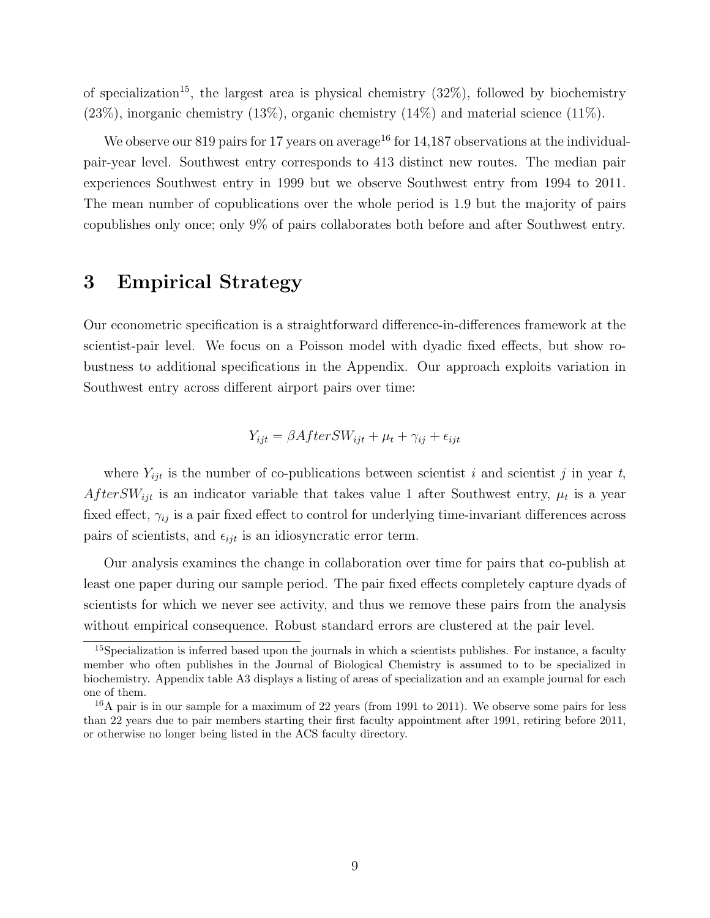of specialization<sup>15</sup>, the largest area is physical chemistry  $(32\%)$ , followed by biochemistry  $(23\%)$ , inorganic chemistry  $(13\%)$ , organic chemistry  $(14\%)$  and material science  $(11\%)$ .

We observe our 819 pairs for 17 years on average<sup>16</sup> for 14,187 observations at the individualpair-year level. Southwest entry corresponds to 413 distinct new routes. The median pair experiences Southwest entry in 1999 but we observe Southwest entry from 1994 to 2011. The mean number of copublications over the whole period is 1.9 but the majority of pairs copublishes only once; only 9% of pairs collaborates both before and after Southwest entry.

## 3 Empirical Strategy

Our econometric specification is a straightforward difference-in-differences framework at the scientist-pair level. We focus on a Poisson model with dyadic fixed effects, but show robustness to additional specifications in the Appendix. Our approach exploits variation in Southwest entry across different airport pairs over time:

$$
Y_{ijt} = \beta AfterSW_{ijt} + \mu_t + \gamma_{ij} + \epsilon_{ijt}
$$

where  $Y_{ijt}$  is the number of co-publications between scientist i and scientist j in year t, After SW<sub>ijt</sub> is an indicator variable that takes value 1 after Southwest entry,  $\mu_t$  is a year fixed effect,  $\gamma_{ij}$  is a pair fixed effect to control for underlying time-invariant differences across pairs of scientists, and  $\epsilon_{ijt}$  is an idiosyncratic error term.

Our analysis examines the change in collaboration over time for pairs that co-publish at least one paper during our sample period. The pair fixed effects completely capture dyads of scientists for which we never see activity, and thus we remove these pairs from the analysis without empirical consequence. Robust standard errors are clustered at the pair level.

<sup>15</sup>Specialization is inferred based upon the journals in which a scientists publishes. For instance, a faculty member who often publishes in the Journal of Biological Chemistry is assumed to to be specialized in biochemistry. Appendix table A3 displays a listing of areas of specialization and an example journal for each one of them.

 $16A$  pair is in our sample for a maximum of 22 years (from 1991 to 2011). We observe some pairs for less than 22 years due to pair members starting their first faculty appointment after 1991, retiring before 2011, or otherwise no longer being listed in the ACS faculty directory.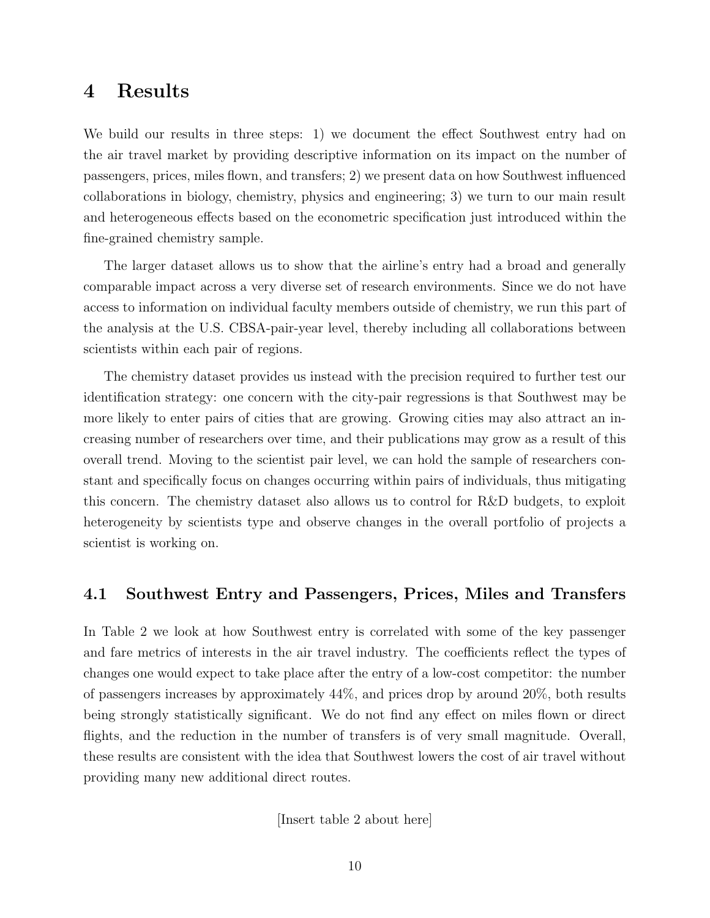### 4 Results

We build our results in three steps: 1) we document the effect Southwest entry had on the air travel market by providing descriptive information on its impact on the number of passengers, prices, miles flown, and transfers; 2) we present data on how Southwest influenced collaborations in biology, chemistry, physics and engineering; 3) we turn to our main result and heterogeneous effects based on the econometric specification just introduced within the fine-grained chemistry sample.

The larger dataset allows us to show that the airline's entry had a broad and generally comparable impact across a very diverse set of research environments. Since we do not have access to information on individual faculty members outside of chemistry, we run this part of the analysis at the U.S. CBSA-pair-year level, thereby including all collaborations between scientists within each pair of regions.

The chemistry dataset provides us instead with the precision required to further test our identification strategy: one concern with the city-pair regressions is that Southwest may be more likely to enter pairs of cities that are growing. Growing cities may also attract an increasing number of researchers over time, and their publications may grow as a result of this overall trend. Moving to the scientist pair level, we can hold the sample of researchers constant and specifically focus on changes occurring within pairs of individuals, thus mitigating this concern. The chemistry dataset also allows us to control for R&D budgets, to exploit heterogeneity by scientists type and observe changes in the overall portfolio of projects a scientist is working on.

#### 4.1 Southwest Entry and Passengers, Prices, Miles and Transfers

In Table 2 we look at how Southwest entry is correlated with some of the key passenger and fare metrics of interests in the air travel industry. The coefficients reflect the types of changes one would expect to take place after the entry of a low-cost competitor: the number of passengers increases by approximately 44%, and prices drop by around 20%, both results being strongly statistically significant. We do not find any effect on miles flown or direct flights, and the reduction in the number of transfers is of very small magnitude. Overall, these results are consistent with the idea that Southwest lowers the cost of air travel without providing many new additional direct routes.

[Insert table 2 about here]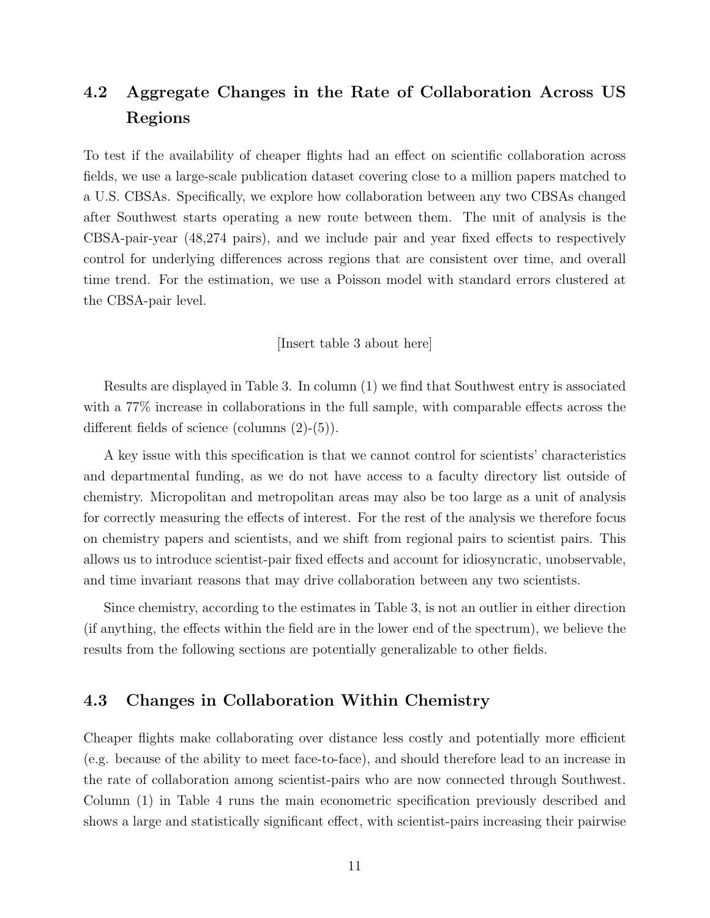# 4.2 Aggregate Changes in the Rate of Collaboration Across US Regions

To test if the availability of cheaper flights had an effect on scientific collaboration across fields, we use a large-scale publication dataset covering close to a million papers matched to a U.S. CBSAs. Specifically, we explore how collaboration between any two CBSAs changed after Southwest starts operating a new route between them. The unit of analysis is the CBSA-pair-year (48,274 pairs), and we include pair and year fixed effects to respectively control for underlying differences across regions that are consistent over time, and overall time trend. For the estimation, we use a Poisson model with standard errors clustered at the CBSA-pair level.

[Insert table 3 about here]

Results are displayed in Table 3. In column (1) we find that Southwest entry is associated with a 77% increase in collaborations in the full sample, with comparable effects across the different fields of science (columns (2)-(5)).

A key issue with this specification is that we cannot control for scientists' characteristics and departmental funding, as we do not have access to a faculty directory list outside of chemistry. Micropolitan and metropolitan areas may also be too large as a unit of analysis for correctly measuring the effects of interest. For the rest of the analysis we therefore focus on chemistry papers and scientists, and we shift from regional pairs to scientist pairs. This allows us to introduce scientist-pair fixed effects and account for idiosyncratic, unobservable, and time invariant reasons that may drive collaboration between any two scientists.

Since chemistry, according to the estimates in Table 3, is not an outlier in either direction (if anything, the effects within the field are in the lower end of the spectrum), we believe the results from the following sections are potentially generalizable to other fields.

#### 4.3 Changes in Collaboration Within Chemistry

Cheaper flights make collaborating over distance less costly and potentially more efficient (e.g. because of the ability to meet face-to-face), and should therefore lead to an increase in the rate of collaboration among scientist-pairs who are now connected through Southwest. Column (1) in Table 4 runs the main econometric specification previously described and shows a large and statistically significant effect, with scientist-pairs increasing their pairwise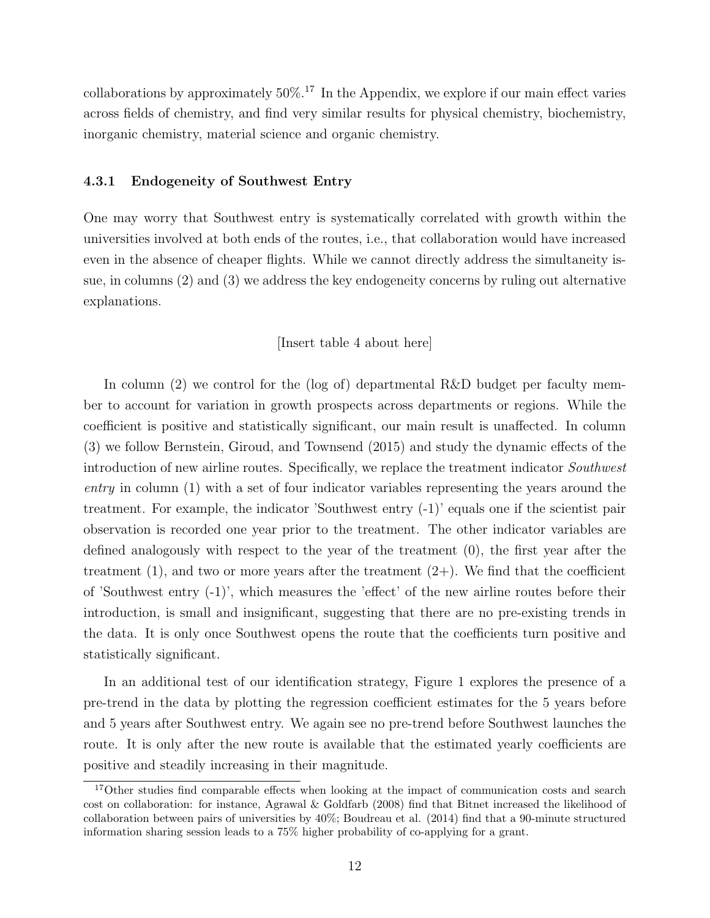collaborations by approximately  $50\%$ .<sup>17</sup> In the Appendix, we explore if our main effect varies across fields of chemistry, and find very similar results for physical chemistry, biochemistry, inorganic chemistry, material science and organic chemistry.

#### 4.3.1 Endogeneity of Southwest Entry

One may worry that Southwest entry is systematically correlated with growth within the universities involved at both ends of the routes, i.e., that collaboration would have increased even in the absence of cheaper flights. While we cannot directly address the simultaneity issue, in columns (2) and (3) we address the key endogeneity concerns by ruling out alternative explanations.

#### [Insert table 4 about here]

In column (2) we control for the (log of) departmental R&D budget per faculty member to account for variation in growth prospects across departments or regions. While the coefficient is positive and statistically significant, our main result is unaffected. In column (3) we follow Bernstein, Giroud, and Townsend (2015) and study the dynamic effects of the introduction of new airline routes. Specifically, we replace the treatment indicator Southwest entry in column (1) with a set of four indicator variables representing the years around the treatment. For example, the indicator 'Southwest entry (-1)' equals one if the scientist pair observation is recorded one year prior to the treatment. The other indicator variables are defined analogously with respect to the year of the treatment (0), the first year after the treatment  $(1)$ , and two or more years after the treatment  $(2+)$ . We find that the coefficient of 'Southwest entry (-1)', which measures the 'effect' of the new airline routes before their introduction, is small and insignificant, suggesting that there are no pre-existing trends in the data. It is only once Southwest opens the route that the coefficients turn positive and statistically significant.

In an additional test of our identification strategy, Figure 1 explores the presence of a pre-trend in the data by plotting the regression coefficient estimates for the 5 years before and 5 years after Southwest entry. We again see no pre-trend before Southwest launches the route. It is only after the new route is available that the estimated yearly coefficients are positive and steadily increasing in their magnitude.

<sup>&</sup>lt;sup>17</sup>Other studies find comparable effects when looking at the impact of communication costs and search cost on collaboration: for instance, Agrawal & Goldfarb (2008) find that Bitnet increased the likelihood of collaboration between pairs of universities by 40%; Boudreau et al. (2014) find that a 90-minute structured information sharing session leads to a 75% higher probability of co-applying for a grant.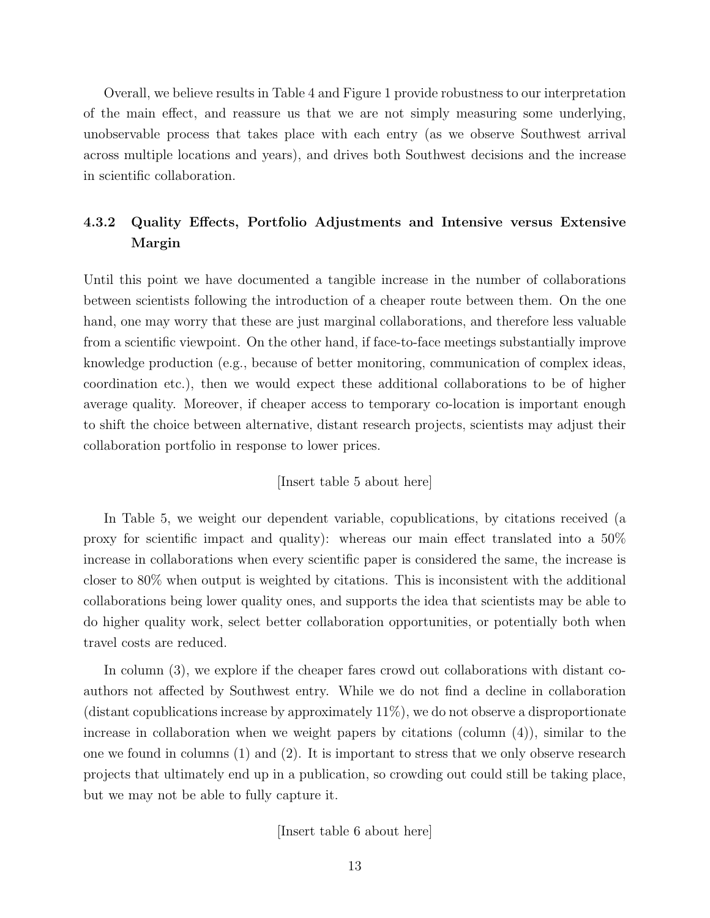Overall, we believe results in Table 4 and Figure 1 provide robustness to our interpretation of the main effect, and reassure us that we are not simply measuring some underlying, unobservable process that takes place with each entry (as we observe Southwest arrival across multiple locations and years), and drives both Southwest decisions and the increase in scientific collaboration.

### 4.3.2 Quality Effects, Portfolio Adjustments and Intensive versus Extensive Margin

Until this point we have documented a tangible increase in the number of collaborations between scientists following the introduction of a cheaper route between them. On the one hand, one may worry that these are just marginal collaborations, and therefore less valuable from a scientific viewpoint. On the other hand, if face-to-face meetings substantially improve knowledge production (e.g., because of better monitoring, communication of complex ideas, coordination etc.), then we would expect these additional collaborations to be of higher average quality. Moreover, if cheaper access to temporary co-location is important enough to shift the choice between alternative, distant research projects, scientists may adjust their collaboration portfolio in response to lower prices.

#### [Insert table 5 about here]

In Table 5, we weight our dependent variable, copublications, by citations received (a proxy for scientific impact and quality): whereas our main effect translated into a 50% increase in collaborations when every scientific paper is considered the same, the increase is closer to 80% when output is weighted by citations. This is inconsistent with the additional collaborations being lower quality ones, and supports the idea that scientists may be able to do higher quality work, select better collaboration opportunities, or potentially both when travel costs are reduced.

In column (3), we explore if the cheaper fares crowd out collaborations with distant coauthors not affected by Southwest entry. While we do not find a decline in collaboration (distant copublications increase by approximately  $11\%$ ), we do not observe a disproportionate increase in collaboration when we weight papers by citations (column  $(4)$ ), similar to the one we found in columns (1) and (2). It is important to stress that we only observe research projects that ultimately end up in a publication, so crowding out could still be taking place, but we may not be able to fully capture it.

[Insert table 6 about here]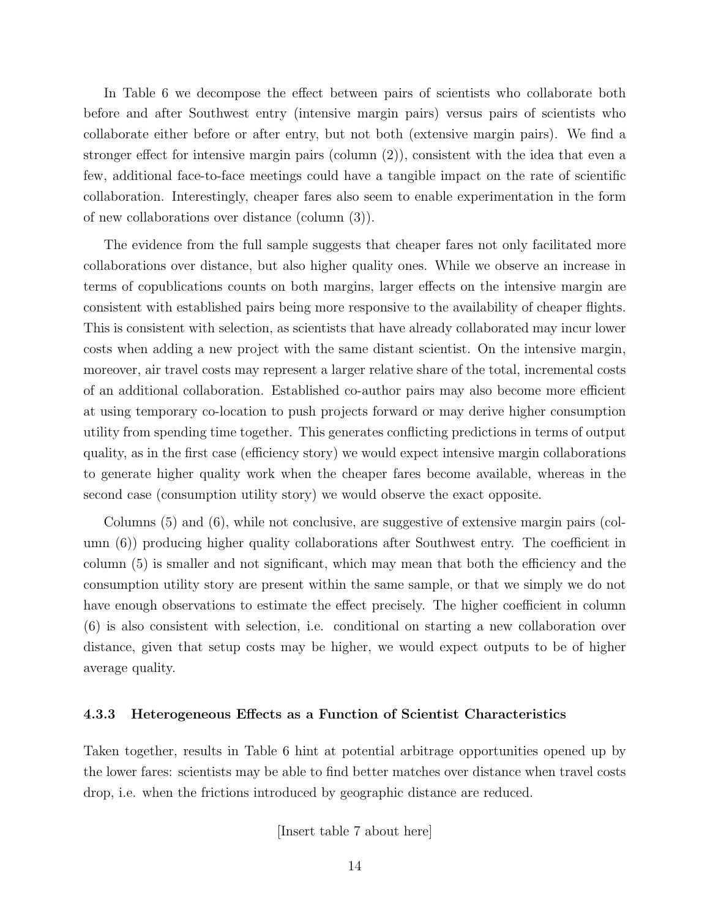In Table 6 we decompose the effect between pairs of scientists who collaborate both before and after Southwest entry (intensive margin pairs) versus pairs of scientists who collaborate either before or after entry, but not both (extensive margin pairs). We find a stronger effect for intensive margin pairs (column (2)), consistent with the idea that even a few, additional face-to-face meetings could have a tangible impact on the rate of scientific collaboration. Interestingly, cheaper fares also seem to enable experimentation in the form of new collaborations over distance (column (3)).

The evidence from the full sample suggests that cheaper fares not only facilitated more collaborations over distance, but also higher quality ones. While we observe an increase in terms of copublications counts on both margins, larger effects on the intensive margin are consistent with established pairs being more responsive to the availability of cheaper flights. This is consistent with selection, as scientists that have already collaborated may incur lower costs when adding a new project with the same distant scientist. On the intensive margin, moreover, air travel costs may represent a larger relative share of the total, incremental costs of an additional collaboration. Established co-author pairs may also become more efficient at using temporary co-location to push projects forward or may derive higher consumption utility from spending time together. This generates conflicting predictions in terms of output quality, as in the first case (efficiency story) we would expect intensive margin collaborations to generate higher quality work when the cheaper fares become available, whereas in the second case (consumption utility story) we would observe the exact opposite.

Columns (5) and (6), while not conclusive, are suggestive of extensive margin pairs (column (6)) producing higher quality collaborations after Southwest entry. The coefficient in column (5) is smaller and not significant, which may mean that both the efficiency and the consumption utility story are present within the same sample, or that we simply we do not have enough observations to estimate the effect precisely. The higher coefficient in column (6) is also consistent with selection, i.e. conditional on starting a new collaboration over distance, given that setup costs may be higher, we would expect outputs to be of higher average quality.

#### 4.3.3 Heterogeneous Effects as a Function of Scientist Characteristics

Taken together, results in Table 6 hint at potential arbitrage opportunities opened up by the lower fares: scientists may be able to find better matches over distance when travel costs drop, i.e. when the frictions introduced by geographic distance are reduced.

[Insert table 7 about here]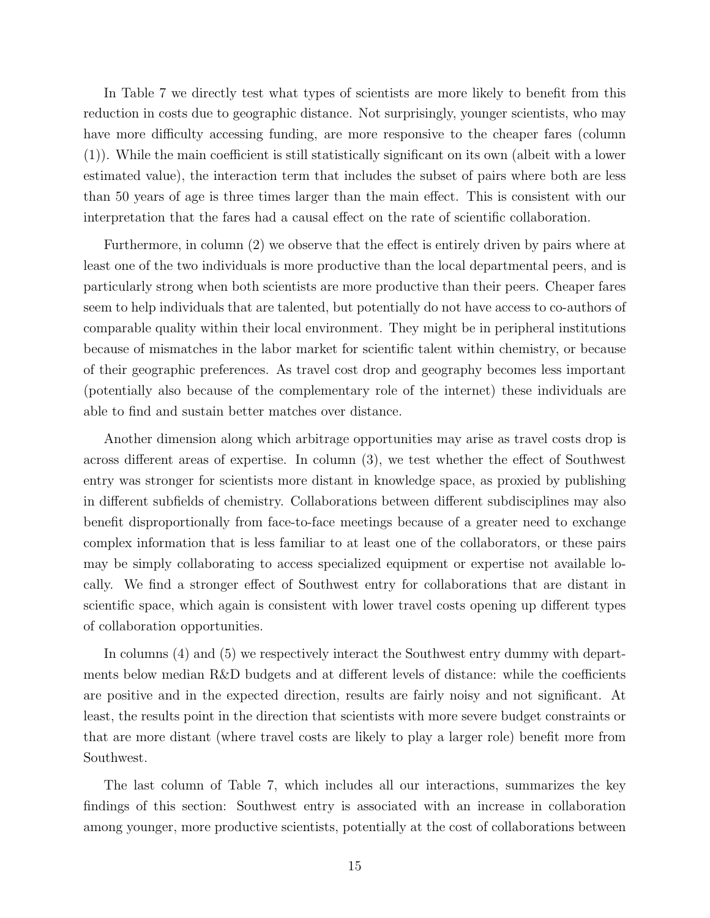In Table 7 we directly test what types of scientists are more likely to benefit from this reduction in costs due to geographic distance. Not surprisingly, younger scientists, who may have more difficulty accessing funding, are more responsive to the cheaper fares (column (1)). While the main coefficient is still statistically significant on its own (albeit with a lower estimated value), the interaction term that includes the subset of pairs where both are less than 50 years of age is three times larger than the main effect. This is consistent with our interpretation that the fares had a causal effect on the rate of scientific collaboration.

Furthermore, in column (2) we observe that the effect is entirely driven by pairs where at least one of the two individuals is more productive than the local departmental peers, and is particularly strong when both scientists are more productive than their peers. Cheaper fares seem to help individuals that are talented, but potentially do not have access to co-authors of comparable quality within their local environment. They might be in peripheral institutions because of mismatches in the labor market for scientific talent within chemistry, or because of their geographic preferences. As travel cost drop and geography becomes less important (potentially also because of the complementary role of the internet) these individuals are able to find and sustain better matches over distance.

Another dimension along which arbitrage opportunities may arise as travel costs drop is across different areas of expertise. In column (3), we test whether the effect of Southwest entry was stronger for scientists more distant in knowledge space, as proxied by publishing in different subfields of chemistry. Collaborations between different subdisciplines may also benefit disproportionally from face-to-face meetings because of a greater need to exchange complex information that is less familiar to at least one of the collaborators, or these pairs may be simply collaborating to access specialized equipment or expertise not available locally. We find a stronger effect of Southwest entry for collaborations that are distant in scientific space, which again is consistent with lower travel costs opening up different types of collaboration opportunities.

In columns (4) and (5) we respectively interact the Southwest entry dummy with departments below median R&D budgets and at different levels of distance: while the coefficients are positive and in the expected direction, results are fairly noisy and not significant. At least, the results point in the direction that scientists with more severe budget constraints or that are more distant (where travel costs are likely to play a larger role) benefit more from Southwest.

The last column of Table 7, which includes all our interactions, summarizes the key findings of this section: Southwest entry is associated with an increase in collaboration among younger, more productive scientists, potentially at the cost of collaborations between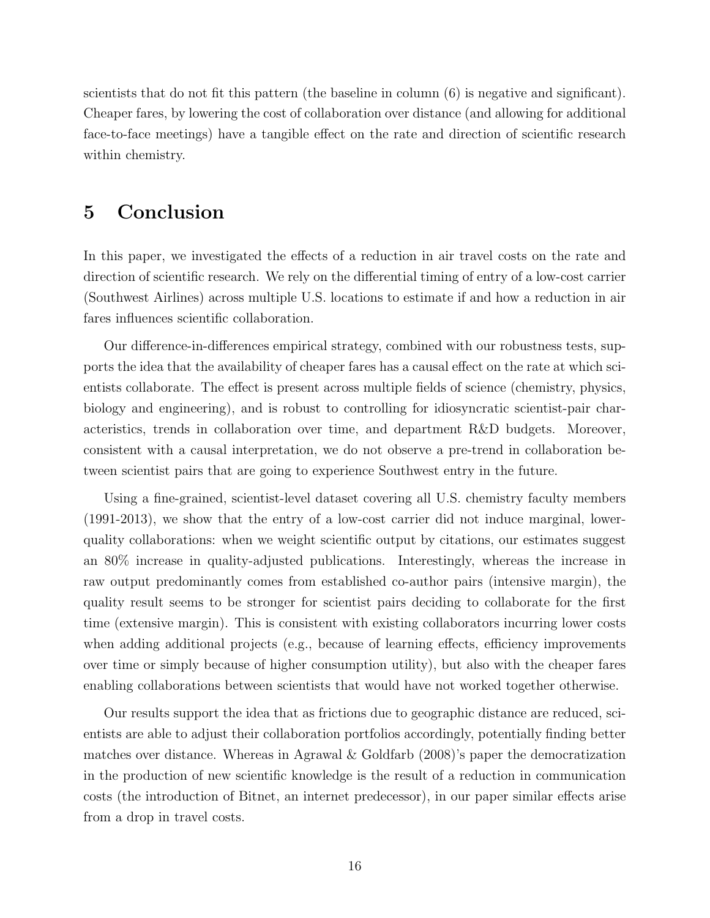scientists that do not fit this pattern (the baseline in column (6) is negative and significant). Cheaper fares, by lowering the cost of collaboration over distance (and allowing for additional face-to-face meetings) have a tangible effect on the rate and direction of scientific research within chemistry.

## 5 Conclusion

In this paper, we investigated the effects of a reduction in air travel costs on the rate and direction of scientific research. We rely on the differential timing of entry of a low-cost carrier (Southwest Airlines) across multiple U.S. locations to estimate if and how a reduction in air fares influences scientific collaboration.

Our difference-in-differences empirical strategy, combined with our robustness tests, supports the idea that the availability of cheaper fares has a causal effect on the rate at which scientists collaborate. The effect is present across multiple fields of science (chemistry, physics, biology and engineering), and is robust to controlling for idiosyncratic scientist-pair characteristics, trends in collaboration over time, and department R&D budgets. Moreover, consistent with a causal interpretation, we do not observe a pre-trend in collaboration between scientist pairs that are going to experience Southwest entry in the future.

Using a fine-grained, scientist-level dataset covering all U.S. chemistry faculty members (1991-2013), we show that the entry of a low-cost carrier did not induce marginal, lowerquality collaborations: when we weight scientific output by citations, our estimates suggest an 80% increase in quality-adjusted publications. Interestingly, whereas the increase in raw output predominantly comes from established co-author pairs (intensive margin), the quality result seems to be stronger for scientist pairs deciding to collaborate for the first time (extensive margin). This is consistent with existing collaborators incurring lower costs when adding additional projects (e.g., because of learning effects, efficiency improvements over time or simply because of higher consumption utility), but also with the cheaper fares enabling collaborations between scientists that would have not worked together otherwise.

Our results support the idea that as frictions due to geographic distance are reduced, scientists are able to adjust their collaboration portfolios accordingly, potentially finding better matches over distance. Whereas in Agrawal & Goldfarb (2008)'s paper the democratization in the production of new scientific knowledge is the result of a reduction in communication costs (the introduction of Bitnet, an internet predecessor), in our paper similar effects arise from a drop in travel costs.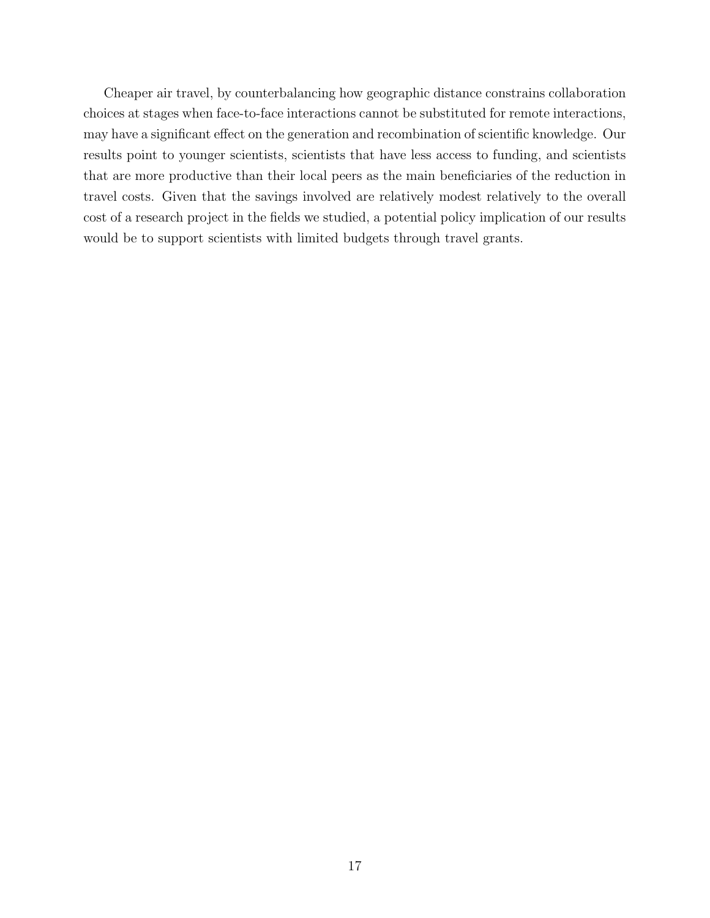Cheaper air travel, by counterbalancing how geographic distance constrains collaboration choices at stages when face-to-face interactions cannot be substituted for remote interactions, may have a significant effect on the generation and recombination of scientific knowledge. Our results point to younger scientists, scientists that have less access to funding, and scientists that are more productive than their local peers as the main beneficiaries of the reduction in travel costs. Given that the savings involved are relatively modest relatively to the overall cost of a research project in the fields we studied, a potential policy implication of our results would be to support scientists with limited budgets through travel grants.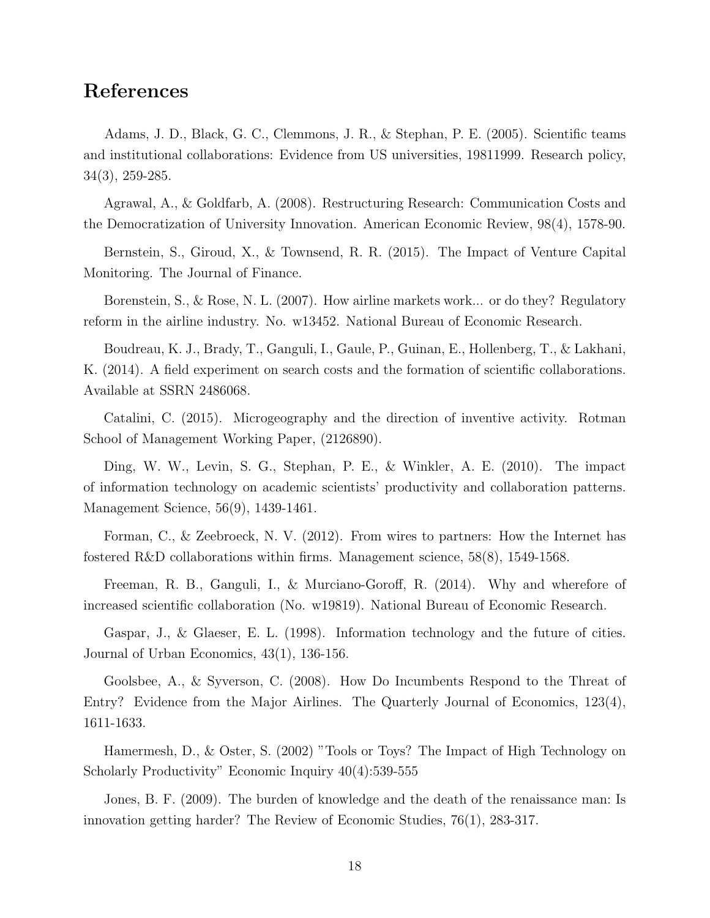### References

Adams, J. D., Black, G. C., Clemmons, J. R., & Stephan, P. E. (2005). Scientific teams and institutional collaborations: Evidence from US universities, 19811999. Research policy, 34(3), 259-285.

Agrawal, A., & Goldfarb, A. (2008). Restructuring Research: Communication Costs and the Democratization of University Innovation. American Economic Review, 98(4), 1578-90.

Bernstein, S., Giroud, X., & Townsend, R. R. (2015). The Impact of Venture Capital Monitoring. The Journal of Finance.

Borenstein, S., & Rose, N. L. (2007). How airline markets work... or do they? Regulatory reform in the airline industry. No. w13452. National Bureau of Economic Research.

Boudreau, K. J., Brady, T., Ganguli, I., Gaule, P., Guinan, E., Hollenberg, T., & Lakhani, K. (2014). A field experiment on search costs and the formation of scientific collaborations. Available at SSRN 2486068.

Catalini, C. (2015). Microgeography and the direction of inventive activity. Rotman School of Management Working Paper, (2126890).

Ding, W. W., Levin, S. G., Stephan, P. E., & Winkler, A. E. (2010). The impact of information technology on academic scientists' productivity and collaboration patterns. Management Science, 56(9), 1439-1461.

Forman, C., & Zeebroeck, N. V. (2012). From wires to partners: How the Internet has fostered R&D collaborations within firms. Management science, 58(8), 1549-1568.

Freeman, R. B., Ganguli, I., & Murciano-Goroff, R. (2014). Why and wherefore of increased scientific collaboration (No. w19819). National Bureau of Economic Research.

Gaspar, J., & Glaeser, E. L. (1998). Information technology and the future of cities. Journal of Urban Economics, 43(1), 136-156.

Goolsbee, A., & Syverson, C. (2008). How Do Incumbents Respond to the Threat of Entry? Evidence from the Major Airlines. The Quarterly Journal of Economics, 123(4), 1611-1633.

Hamermesh, D., & Oster, S. (2002) "Tools or Toys? The Impact of High Technology on Scholarly Productivity" Economic Inquiry 40(4):539-555

Jones, B. F. (2009). The burden of knowledge and the death of the renaissance man: Is innovation getting harder? The Review of Economic Studies, 76(1), 283-317.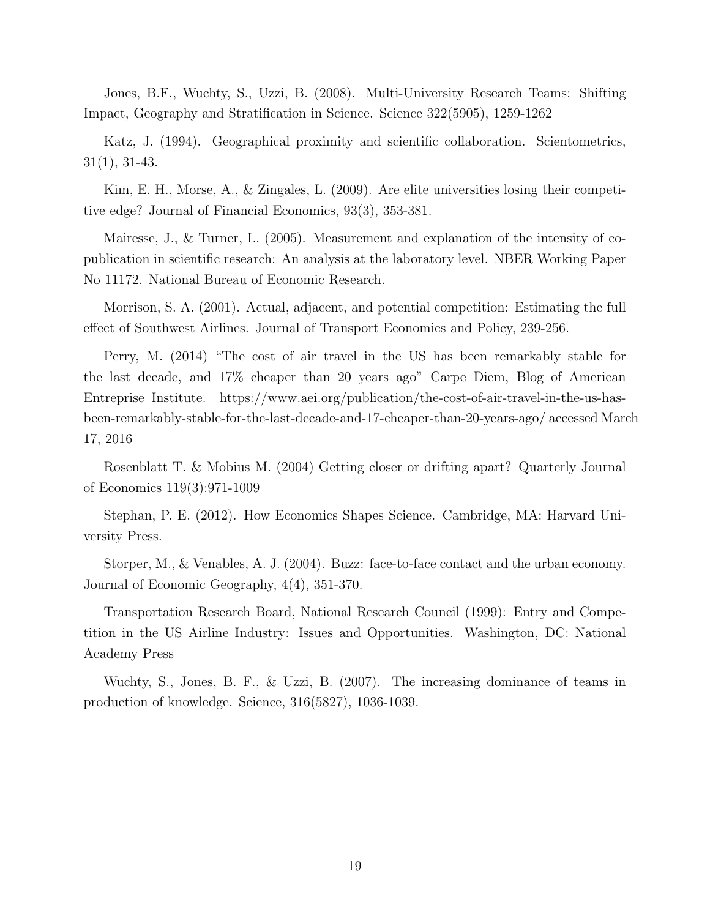Jones, B.F., Wuchty, S., Uzzi, B. (2008). Multi-University Research Teams: Shifting Impact, Geography and Stratification in Science. Science 322(5905), 1259-1262

Katz, J. (1994). Geographical proximity and scientific collaboration. Scientometrics, 31(1), 31-43.

Kim, E. H., Morse, A., & Zingales, L. (2009). Are elite universities losing their competitive edge? Journal of Financial Economics, 93(3), 353-381.

Mairesse, J., & Turner, L. (2005). Measurement and explanation of the intensity of copublication in scientific research: An analysis at the laboratory level. NBER Working Paper No 11172. National Bureau of Economic Research.

Morrison, S. A. (2001). Actual, adjacent, and potential competition: Estimating the full effect of Southwest Airlines. Journal of Transport Economics and Policy, 239-256.

Perry, M. (2014) "The cost of air travel in the US has been remarkably stable for the last decade, and 17% cheaper than 20 years ago" Carpe Diem, Blog of American Entreprise Institute. https://www.aei.org/publication/the-cost-of-air-travel-in-the-us-hasbeen-remarkably-stable-for-the-last-decade-and-17-cheaper-than-20-years-ago/ accessed March 17, 2016

Rosenblatt T. & Mobius M. (2004) Getting closer or drifting apart? Quarterly Journal of Economics 119(3):971-1009

Stephan, P. E. (2012). How Economics Shapes Science. Cambridge, MA: Harvard University Press.

Storper, M., & Venables, A. J. (2004). Buzz: face-to-face contact and the urban economy. Journal of Economic Geography, 4(4), 351-370.

Transportation Research Board, National Research Council (1999): Entry and Competition in the US Airline Industry: Issues and Opportunities. Washington, DC: National Academy Press

Wuchty, S., Jones, B. F., & Uzzi, B. (2007). The increasing dominance of teams in production of knowledge. Science, 316(5827), 1036-1039.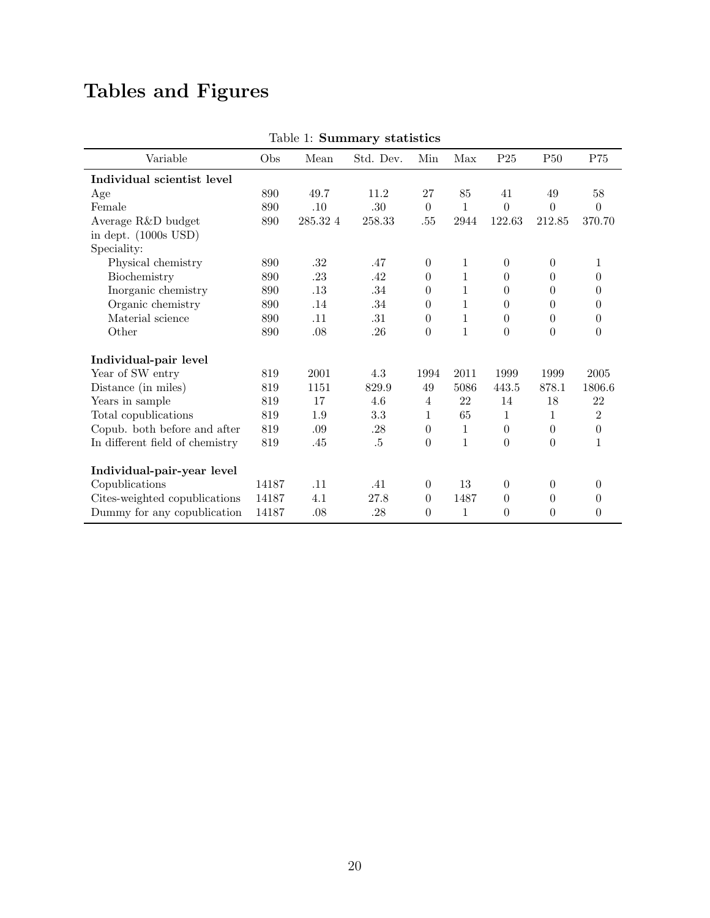# Tables and Figures

|                                 |       | rapic 1. <b>pullimar</b> y |           | <b>Proprietion</b> |              |                  |                  |                  |
|---------------------------------|-------|----------------------------|-----------|--------------------|--------------|------------------|------------------|------------------|
| Variable                        | Obs   | Mean                       | Std. Dev. | Min                | Max          | P <sub>25</sub>  | <b>P50</b>       | P75              |
| Individual scientist level      |       |                            |           |                    |              |                  |                  |                  |
| Age                             | 890   | 49.7                       | 11.2      | $27\,$             | 85           | 41               | 49               | $58\,$           |
| Female                          | 890   | .10                        | .30       | $\boldsymbol{0}$   | $\mathbf{1}$ | $\Omega$         | $\overline{0}$   | $\theta$         |
| Average R&D budget              | 890   | $285.32\ 4$                | 258.33    | .55                | 2944         | 122.63           | 212.85           | 370.70           |
| in dept. $(1000s$ USD)          |       |                            |           |                    |              |                  |                  |                  |
| Speciality:                     |       |                            |           |                    |              |                  |                  |                  |
| Physical chemistry              | 890   | $.32\,$                    | .47       | $\boldsymbol{0}$   | $\mathbf{1}$ | $\boldsymbol{0}$ | $\boldsymbol{0}$ | 1                |
| Biochemistry                    | 890   | $.23\,$                    | .42       | $\theta$           | $\mathbf{1}$ | $\overline{0}$   | $\theta$         | $\overline{0}$   |
| Inorganic chemistry             | 890   | .13                        | .34       | $\theta$           | 1            | $\Omega$         | $\Omega$         | $\Omega$         |
| Organic chemistry               | 890   | .14                        | $.34\,$   | $\theta$           | $\mathbf 1$  | $\overline{0}$   | $\theta$         | 0                |
| Material science                | 890   | .11                        | .31       | $\boldsymbol{0}$   | $\mathbf{1}$ | $\overline{0}$   | $\overline{0}$   | $\overline{0}$   |
| Other                           | 890   | .08                        | .26       | $\boldsymbol{0}$   | $\mathbf{1}$ | $\theta$         | $\theta$         | $\theta$         |
| Individual-pair level           |       |                            |           |                    |              |                  |                  |                  |
| Year of SW entry                | 819   | 2001                       | 4.3       | 1994               | 2011         | 1999             | 1999             | 2005             |
| Distance (in miles)             | 819   | 1151                       | 829.9     | 49                 | 5086         | 443.5            | 878.1            | 1806.6           |
| Years in sample                 | 819   | 17                         | 4.6       | $\overline{4}$     | 22           | 14               | $18\,$           | $22\,$           |
| Total copublications            | 819   | 1.9                        | 3.3       | $\mathbf{1}$       | 65           | $\mathbf{1}$     | $\mathbf{1}$     | $\overline{2}$   |
| Copub. both before and after    | 819   | $.09\,$                    | .28       | $\boldsymbol{0}$   | $\mathbf{1}$ | $\overline{0}$   | $\theta$         | $\boldsymbol{0}$ |
| In different field of chemistry | 819   | .45                        | $.5\,$    | $\boldsymbol{0}$   | $\mathbf{1}$ | $\theta$         | $\overline{0}$   | $\mathbf{1}$     |
| Individual-pair-year level      |       |                            |           |                    |              |                  |                  |                  |
| Copublications                  | 14187 | .11                        | .41       | $\overline{0}$     | 13           | $\Omega$         | $\theta$         | $\Omega$         |
| Cites-weighted copublications   | 14187 | 4.1                        | 27.8      | $\boldsymbol{0}$   | 1487         | $\overline{0}$   | $\theta$         | $\overline{0}$   |
| Dummy for any copublication     | 14187 | .08                        | .28       | 0                  | 1            | $\theta$         | $\theta$         | 0                |

#### Table 1: Summary statistics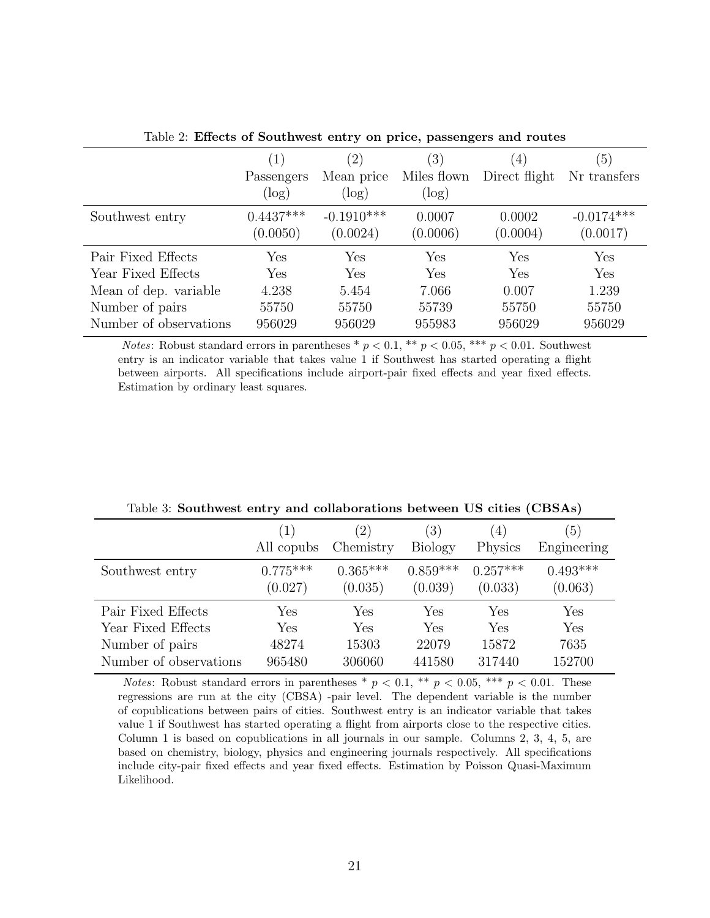|                        | $\left(1\right)$ | $\left( 2\right)$ | $\left(3\right)$ | $\left(4\right)$ | (5)          |
|------------------------|------------------|-------------------|------------------|------------------|--------------|
|                        | Passengers       | Mean price        | Miles flown      | Direct flight    | Nr transfers |
|                        | $(\log)$         | log)              | $(\log)$         |                  |              |
| Southwest entry        | $0.4437***$      | $-0.1910***$      | 0.0007           | 0.0002           | $-0.0174***$ |
|                        | (0.0050)         | (0.0024)          | (0.0006)         | (0.0004)         | (0.0017)     |
| Pair Fixed Effects     | Yes              | Yes               | Yes              | Yes              | Yes          |
| Year Fixed Effects     | Yes              | Yes               | Yes              | Yes              | Yes          |
| Mean of dep. variable  | 4.238            | 5.454             | 7.066            | 0.007            | 1.239        |
| Number of pairs        | 55750            | 55750             | 55739            | 55750            | 55750        |
| Number of observations | 956029           | 956029            | 955983           | 956029           | 956029       |
|                        |                  |                   |                  |                  |              |

Table 2: Effects of Southwest entry on price, passengers and routes

Notes: Robust standard errors in parentheses \*  $p < 0.1$ , \*\*  $p < 0.05$ , \*\*\*  $p < 0.01$ . Southwest entry is an indicator variable that takes value 1 if Southwest has started operating a flight between airports. All specifications include airport-pair fixed effects and year fixed effects. Estimation by ordinary least squares.

|                        | (1)<br>All copubs     | (2)<br>Chemistry      | (3)<br><b>Biology</b> | (4)<br>Physics        | (5)<br>Engineering    |
|------------------------|-----------------------|-----------------------|-----------------------|-----------------------|-----------------------|
| Southwest entry        | $0.775***$<br>(0.027) | $0.365***$<br>(0.035) | $0.859***$<br>(0.039) | $0.257***$<br>(0.033) | $0.493***$<br>(0.063) |
| Pair Fixed Effects     | Yes                   | Yes                   | Yes                   | Yes                   | Yes                   |
| Year Fixed Effects     | Yes                   | Yes                   | Yes                   | Yes                   | Yes                   |
| Number of pairs        | 48274                 | 15303                 | 22079                 | 15872                 | 7635                  |
| Number of observations | 965480                | 306060                | 441580                | 317440                | 152700                |

Table 3: Southwest entry and collaborations between US cities (CBSAs)

*Notes*: Robust standard errors in parentheses  $p < 0.1$ ,  $\ast p < 0.05$ ,  $\ast \ast p < 0.01$ . These regressions are run at the city (CBSA) -pair level. The dependent variable is the number of copublications between pairs of cities. Southwest entry is an indicator variable that takes value 1 if Southwest has started operating a flight from airports close to the respective cities. Column 1 is based on copublications in all journals in our sample. Columns 2, 3, 4, 5, are based on chemistry, biology, physics and engineering journals respectively. All specifications include city-pair fixed effects and year fixed effects. Estimation by Poisson Quasi-Maximum Likelihood.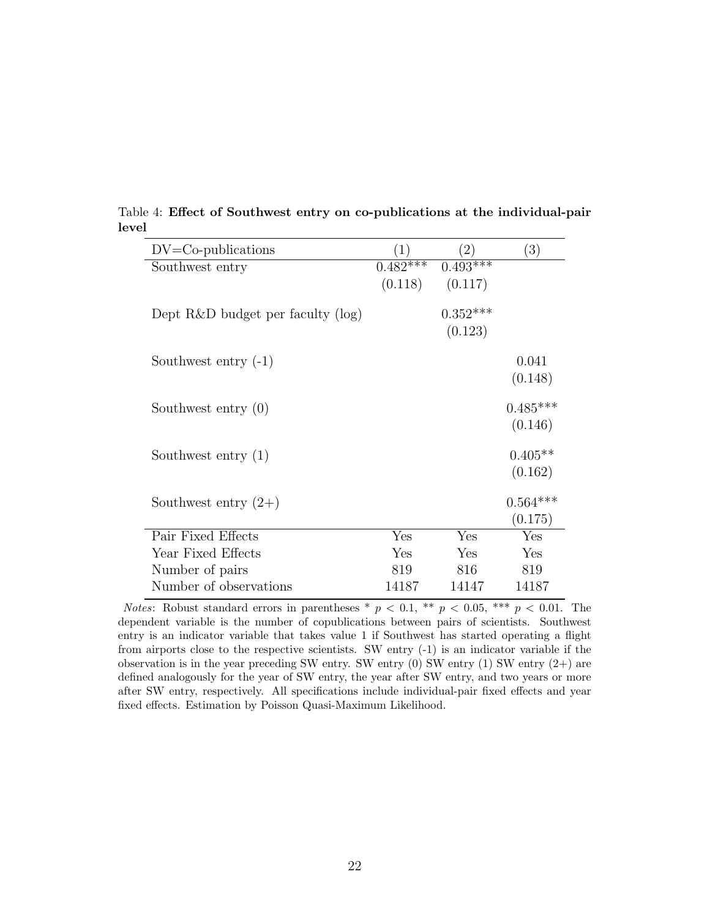| $DV = Co-publications$               |             |                       | (3)                   |
|--------------------------------------|-------------|-----------------------|-----------------------|
| Southwest entry                      | $0.482$ *** | $0.493***$            |                       |
|                                      |             | $(0.118)$ $(0.117)$   |                       |
| Dept $R\&D$ budget per faculty (log) |             | $0.352***$<br>(0.123) |                       |
| Southwest entry $(-1)$               |             |                       | 0.041<br>(0.148)      |
| Southwest entry $(0)$                |             |                       | $0.485***$<br>(0.146) |
| Southwest entry $(1)$                |             |                       | $0.405**$<br>(0.162)  |
| Southwest entry $(2+)$               |             |                       | $0.564***$<br>(0.175) |
| Pair Fixed Effects                   | Yes         | Yes                   | Yes                   |
| Year Fixed Effects                   | Yes         | Yes                   | Yes                   |
| Number of pairs                      | 819         | 816                   | 819                   |
| Number of observations               | 14187       | 14147                 | 14187                 |

Table 4: Effect of Southwest entry on co-publications at the individual-pair level

*Notes*: Robust standard errors in parentheses \*  $p < 0.1$ , \*\*  $p < 0.05$ , \*\*\*  $p < 0.01$ . The dependent variable is the number of copublications between pairs of scientists. Southwest entry is an indicator variable that takes value 1 if Southwest has started operating a flight from airports close to the respective scientists. SW entry (-1) is an indicator variable if the observation is in the year preceding SW entry. SW entry  $(0)$  SW entry  $(1)$  SW entry  $(2+)$  are defined analogously for the year of SW entry, the year after SW entry, and two years or more after SW entry, respectively. All specifications include individual-pair fixed effects and year fixed effects. Estimation by Poisson Quasi-Maximum Likelihood.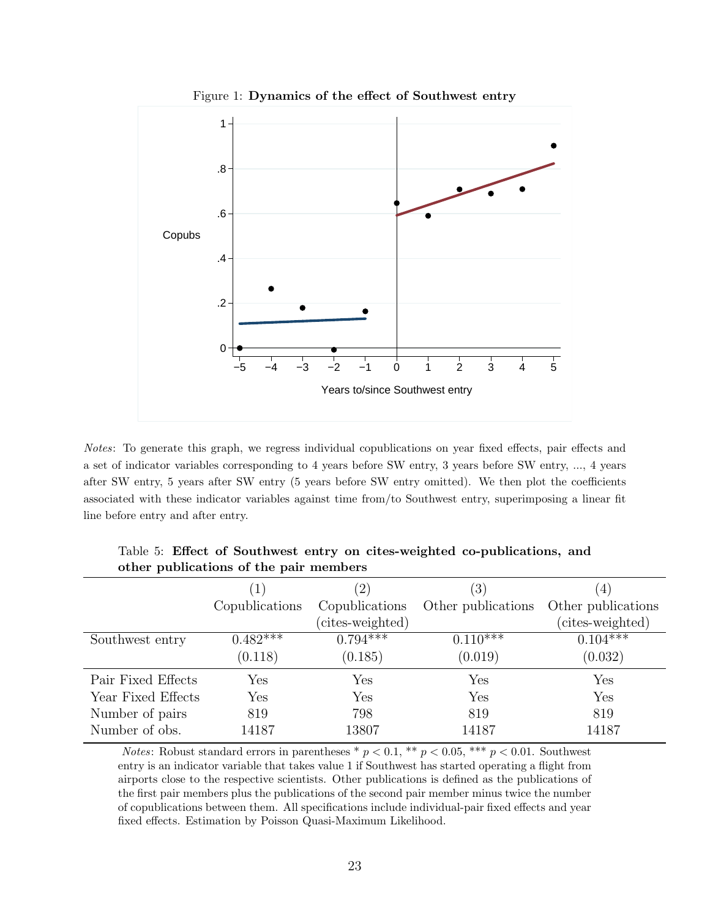

Figure 1: Dynamics of the effect of Southwest entry

Notes: To generate this graph, we regress individual copublications on year fixed effects, pair effects and a set of indicator variables corresponding to 4 years before SW entry, 3 years before SW entry, ..., 4 years after SW entry, 5 years after SW entry (5 years before SW entry omitted). We then plot the coefficients associated with these indicator variables against time from/to Southwest entry, superimposing a linear fit line before entry and after entry.

|                    | (1)            | $^{'}2)$         | $\left(3\right)$   | $\overline{4}$     |
|--------------------|----------------|------------------|--------------------|--------------------|
|                    | Copublications | Copublications   | Other publications | Other publications |
|                    |                | (cites-weighted) |                    | (cites-weighted)   |
| Southwest entry    | $0.482***$     | $0.794***$       | $0.110^{***}$      | $0.104***$         |
|                    | (0.118)        | (0.185)          | (0.019)            | (0.032)            |
| Pair Fixed Effects | Yes            | Yes              | Yes                | Yes                |
| Year Fixed Effects | Yes            | Yes              | Yes                | Yes                |
| Number of pairs    | 819            | 798              | 819                | 819                |
| Number of obs.     | 14187          | 13807            | 14187              | 14187              |

Table 5: Effect of Southwest entry on cites-weighted co-publications, and other publications of the pair members

*Notes*: Robust standard errors in parentheses \*  $p < 0.1$ , \*\*  $p < 0.05$ , \*\*\*  $p < 0.01$ . Southwest entry is an indicator variable that takes value 1 if Southwest has started operating a flight from airports close to the respective scientists. Other publications is defined as the publications of the first pair members plus the publications of the second pair member minus twice the number of copublications between them. All specifications include individual-pair fixed effects and year fixed effects. Estimation by Poisson Quasi-Maximum Likelihood.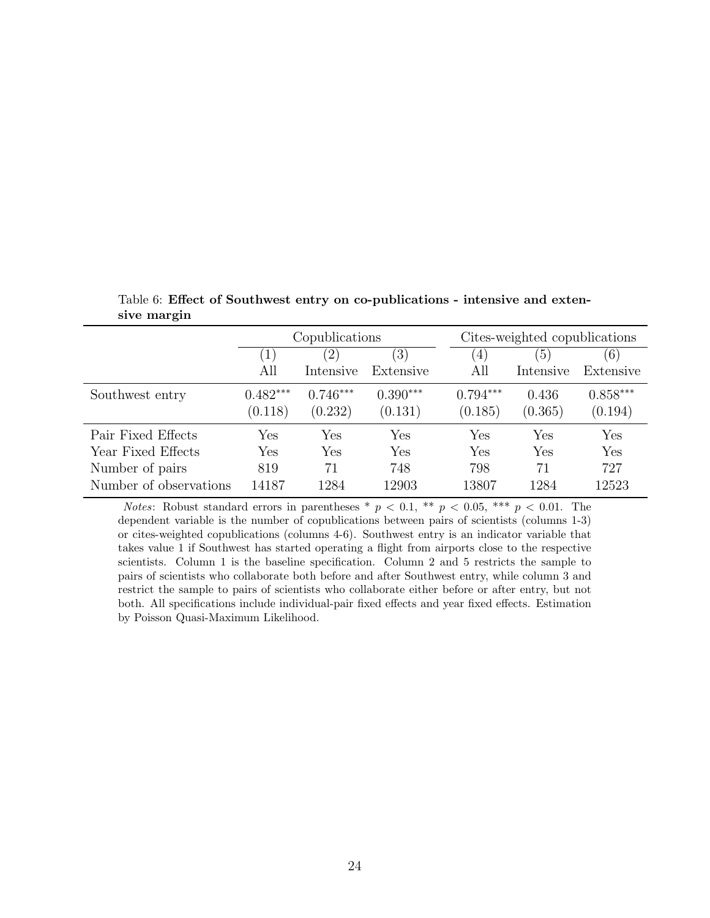|                        | Copublications |            |            |            | Cites-weighted copublications |            |
|------------------------|----------------|------------|------------|------------|-------------------------------|------------|
|                        | (1)            | (2)        | (3)        | 4          | $\left(5\right)$              | (6)        |
|                        | All            | Intensive  | Extensive  | All        | Intensive                     | Extensive  |
| Southwest entry        | $0.482***$     | $0.746***$ | $0.390***$ | $0.794***$ | 0.436                         | $0.858***$ |
|                        | (0.118)        | (0.232)    | (0.131)    | (0.185)    | (0.365)                       | (0.194)    |
| Pair Fixed Effects     | Yes            | Yes        | Yes        | Yes        | Yes                           | Yes        |
| Year Fixed Effects     | Yes            | Yes        | Yes        | Yes        | Yes                           | Yes        |
| Number of pairs        | 819            | 71         | 748        | 798        | 71                            | 727        |
| Number of observations | 14187          | 1284       | 12903      | 13807      | 1284                          | 12523      |

Table 6: Effect of Southwest entry on co-publications - intensive and extensive margin

*Notes*: Robust standard errors in parentheses \*  $p < 0.1$ , \*\*  $p < 0.05$ , \*\*\*  $p < 0.01$ . The dependent variable is the number of copublications between pairs of scientists (columns 1-3) or cites-weighted copublications (columns 4-6). Southwest entry is an indicator variable that takes value 1 if Southwest has started operating a flight from airports close to the respective scientists. Column 1 is the baseline specification. Column 2 and 5 restricts the sample to pairs of scientists who collaborate both before and after Southwest entry, while column 3 and restrict the sample to pairs of scientists who collaborate either before or after entry, but not both. All specifications include individual-pair fixed effects and year fixed effects. Estimation by Poisson Quasi-Maximum Likelihood.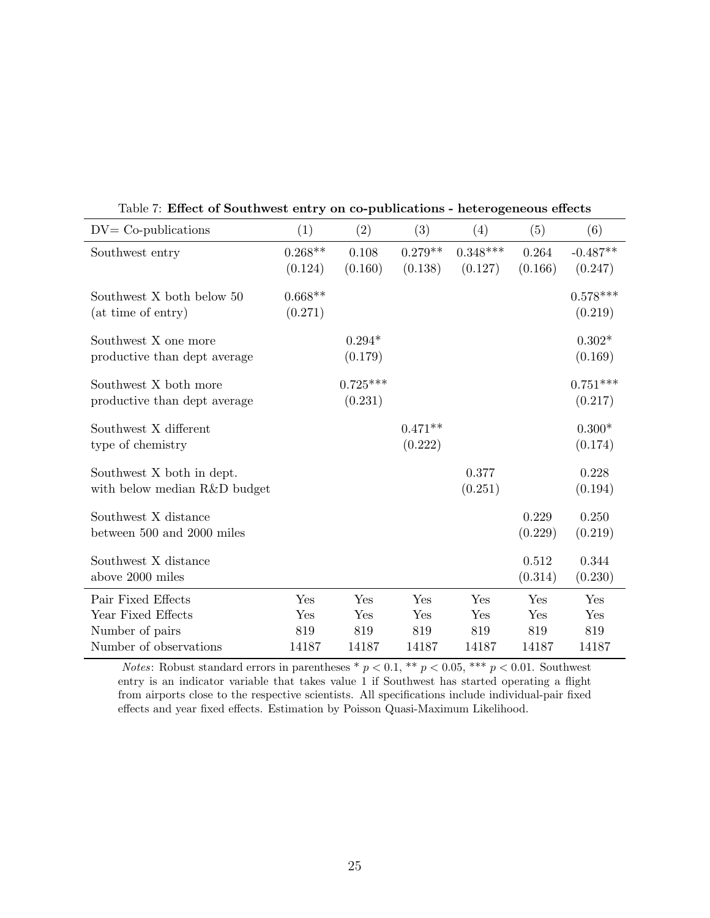| $DV = Co-publications$                                    | (1)                  | (2)                   | (3)                  | (4)                   | (5)              | (6)                   |
|-----------------------------------------------------------|----------------------|-----------------------|----------------------|-----------------------|------------------|-----------------------|
| Southwest entry                                           | $0.268**$<br>(0.124) | 0.108<br>(0.160)      | $0.279**$<br>(0.138) | $0.348***$<br>(0.127) | 0.264<br>(0.166) | $-0.487**$<br>(0.247) |
| Southwest X both below 50<br>(at time of entry)           | $0.668**$<br>(0.271) |                       |                      |                       |                  | $0.578***$<br>(0.219) |
| Southwest X one more<br>productive than dept average      |                      | $0.294*$<br>(0.179)   |                      |                       |                  | $0.302*$<br>(0.169)   |
| Southwest X both more<br>productive than dept average     |                      | $0.725***$<br>(0.231) |                      |                       |                  | $0.751***$<br>(0.217) |
| Southwest X different<br>type of chemistry                |                      |                       | $0.471**$<br>(0.222) |                       |                  | $0.300*$<br>(0.174)   |
| Southwest X both in dept.<br>with below median R&D budget |                      |                       |                      | 0.377<br>(0.251)      |                  | 0.228<br>(0.194)      |
| Southwest X distance<br>between 500 and 2000 miles        |                      |                       |                      |                       | 0.229<br>(0.229) | 0.250<br>(0.219)      |
| Southwest X distance<br>above 2000 miles                  |                      |                       |                      |                       | 0.512<br>(0.314) | 0.344<br>(0.230)      |
| Pair Fixed Effects                                        | Yes                  | Yes                   | Yes                  | Yes                   | Yes              | Yes                   |
| Year Fixed Effects                                        | Yes                  | Yes                   | Yes                  | Yes                   | Yes              | Yes                   |
| Number of pairs                                           | 819                  | 819                   | 819                  | 819                   | 819              | 819                   |
| Number of observations                                    | 14187                | 14187                 | 14187                | 14187                 | 14187            | 14187                 |

Table 7: Effect of Southwest entry on co-publications - heterogeneous effects

*Notes*: Robust standard errors in parentheses \*  $p < 0.1$ , \*\*  $p < 0.05$ , \*\*\*  $p < 0.01$ . Southwest entry is an indicator variable that takes value 1 if Southwest has started operating a flight from airports close to the respective scientists. All specifications include individual-pair fixed effects and year fixed effects. Estimation by Poisson Quasi-Maximum Likelihood.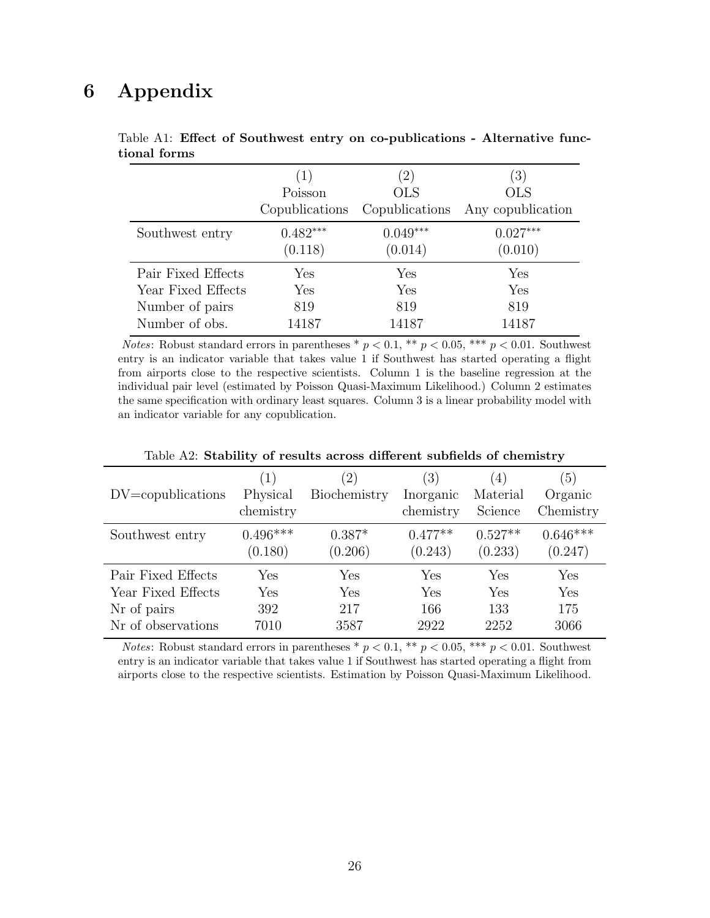# 6 Appendix

|                    | (1)            | $\left(2\right)$ | (3)               |
|--------------------|----------------|------------------|-------------------|
|                    | Poisson        | <b>OLS</b>       | <b>OLS</b>        |
|                    | Copublications | Copublications   | Any copublication |
| Southwest entry    | $0.482***$     | $0.049***$       | $0.027***$        |
|                    | (0.118)        | (0.014)          | (0.010)           |
| Pair Fixed Effects | Yes            | ${\rm Yes}$      | Yes               |
| Year Fixed Effects | Yes            | Yes              | Yes               |
| Number of pairs    | 819            | 819              | 819               |
| Number of obs.     | 14187          | 14187            | 14187             |

Table A1: Effect of Southwest entry on co-publications - Alternative functional forms

*Notes*: Robust standard errors in parentheses  $p < 0.1$ ,  $\ast p < 0.05$ ,  $\ast \ast p < 0.01$ . Southwest entry is an indicator variable that takes value 1 if Southwest has started operating a flight from airports close to the respective scientists. Column 1 is the baseline regression at the individual pair level (estimated by Poisson Quasi-Maximum Likelihood.) Column 2 estimates the same specification with ordinary least squares. Column 3 is a linear probability model with an indicator variable for any copublication.

| $DV = copublications$ | (1)<br>Physical<br>chemistry | (2)<br>Biochemistry | (3)<br>Inorganic<br>chemistry | $\left(4\right)$<br>Material<br>Science | $\left(5\right)$<br>Organic<br>Chemistry |
|-----------------------|------------------------------|---------------------|-------------------------------|-----------------------------------------|------------------------------------------|
| Southwest entry       | $0.496***$<br>(0.180)        | $0.387*$<br>(0.206) | $0.477**$<br>(0.243)          | $0.527**$<br>(0.233)                    | $0.646***$<br>(0.247)                    |
| Pair Fixed Effects    | Yes                          | Yes                 | Yes                           | Yes                                     | Yes                                      |
| Year Fixed Effects    | Yes                          | Yes                 | Yes                           | Yes                                     | Yes                                      |
| Nr of pairs           | 392                          | 217                 | 166                           | 133                                     | 175                                      |
| Nr of observations    | 7010                         | 3587                | 2922                          | 2252                                    | 3066                                     |

Table A2: Stability of results across different subfields of chemistry

*Notes*: Robust standard errors in parentheses \*  $p < 0.1$ , \*\*  $p < 0.05$ , \*\*\*  $p < 0.01$ . Southwest entry is an indicator variable that takes value 1 if Southwest has started operating a flight from airports close to the respective scientists. Estimation by Poisson Quasi-Maximum Likelihood.